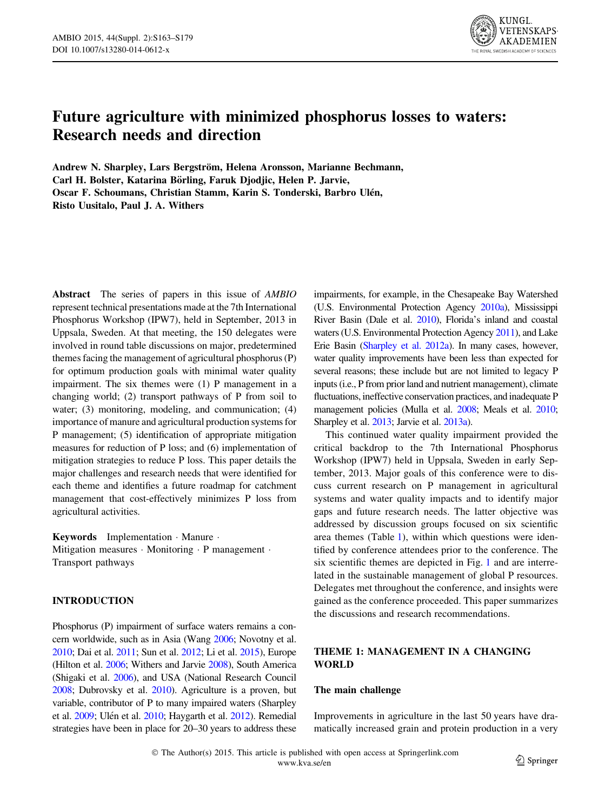

# Future agriculture with minimized phosphorus losses to waters: Research needs and direction

Andrew N. Sharpley, Lars Bergström, Helena Aronsson, Marianne Bechmann, Carl H. Bolster, Katarina Börling, Faruk Djodjic, Helen P. Jarvie, Oscar F. Schoumans, Christian Stamm, Karin S. Tonderski, Barbro Ulén, Risto Uusitalo, Paul J. A. Withers

Abstract The series of papers in this issue of *AMBIO* represent technical presentations made at the 7th International Phosphorus Workshop (IPW7), held in September, 2013 in Uppsala, Sweden. At that meeting, the 150 delegates were involved in round table discussions on major, predetermined themes facing the management of agricultural phosphorus (P) for optimum production goals with minimal water quality impairment. The six themes were (1) P management in a changing world; (2) transport pathways of P from soil to water; (3) monitoring, modeling, and communication; (4) importance of manure and agricultural production systems for P management; (5) identification of appropriate mitigation measures for reduction of P loss; and (6) implementation of mitigation strategies to reduce P loss. This paper details the major challenges and research needs that were identified for each theme and identifies a future roadmap for catchment management that cost-effectively minimizes P loss from agricultural activities.

Keywords Implementation - Manure - Mitigation measures · Monitoring · P management · Transport pathways

## INTRODUCTION

Phosphorus (P) impairment of surface waters remains a concern worldwide, such as in Asia (Wang [2006;](#page-15-0) Novotny et al. [2010](#page-14-0); Dai et al. [2011;](#page-12-0) Sun et al. [2012](#page-14-0); Li et al. [2015](#page-13-0)), Europe (Hilton et al. [2006](#page-13-0); Withers and Jarvie [2008](#page-15-0)), South America (Shigaki et al. [2006\)](#page-14-0), and USA (National Research Council [2008](#page-14-0); Dubrovsky et al. [2010](#page-12-0)). Agriculture is a proven, but variable, contributor of P to many impaired waters (Sharpley et al. [2009;](#page-14-0) Ulén et al. [2010](#page-15-0); Haygarth et al. [2012\)](#page-13-0). Remedial strategies have been in place for 20–30 years to address these impairments, for example, in the Chesapeake Bay Watershed (U.S. Environmental Protection Agency [2010a\)](#page-15-0), Mississippi River Basin (Dale et al. [2010](#page-12-0)), Florida's inland and coastal waters (U.S. Environmental Protection Agency [2011](#page-15-0)), and Lake Erie Basin [\(Sharpley et al. 2012a\)](#page-14-0). In many cases, however, water quality improvements have been less than expected for several reasons; these include but are not limited to legacy P inputs (i.e., P from prior land and nutrient management), climate fluctuations, ineffective conservation practices, and inadequate P management policies (Mulla et al. [2008](#page-14-0); Meals et al. [2010](#page-14-0); Sharpley et al. [2013;](#page-14-0) Jarvie et al. [2013a\)](#page-13-0).

This continued water quality impairment provided the critical backdrop to the 7th International Phosphorus Workshop (IPW7) held in Uppsala, Sweden in early September, 2013. Major goals of this conference were to discuss current research on P management in agricultural systems and water quality impacts and to identify major gaps and future research needs. The latter objective was addressed by discussion groups focused on six scientific area themes (Table [1](#page-1-0)), within which questions were identified by conference attendees prior to the conference. The six scientific themes are depicted in Fig. [1](#page-2-0) and are interrelated in the sustainable management of global P resources. Delegates met throughout the conference, and insights were gained as the conference proceeded. This paper summarizes the discussions and research recommendations.

# THEME 1: MANAGEMENT IN A CHANGING WORLD

### The main challenge

Improvements in agriculture in the last 50 years have dramatically increased grain and protein production in a very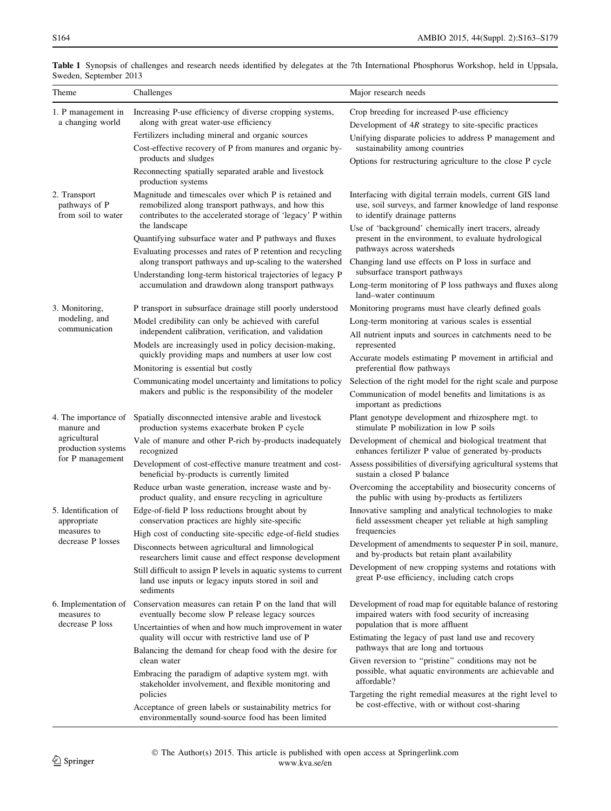| Theme                                                                                        | Challenges                                                                                                                                                                                                                                                                                                                                                                                                                                                                                                                                                                     | Major research needs                                                                                                                                                                                                                                                                                                                                                                                                                                                                                                    |  |  |  |  |
|----------------------------------------------------------------------------------------------|--------------------------------------------------------------------------------------------------------------------------------------------------------------------------------------------------------------------------------------------------------------------------------------------------------------------------------------------------------------------------------------------------------------------------------------------------------------------------------------------------------------------------------------------------------------------------------|-------------------------------------------------------------------------------------------------------------------------------------------------------------------------------------------------------------------------------------------------------------------------------------------------------------------------------------------------------------------------------------------------------------------------------------------------------------------------------------------------------------------------|--|--|--|--|
| 1. P management in<br>a changing world                                                       | Increasing P-use efficiency of diverse cropping systems,<br>along with great water-use efficiency<br>Fertilizers including mineral and organic sources<br>Cost-effective recovery of P from manures and organic by-<br>products and sludges<br>Reconnecting spatially separated arable and livestock                                                                                                                                                                                                                                                                           | Crop breeding for increased P-use efficiency<br>Development of 4R strategy to site-specific practices<br>Unifying disparate policies to address P management and<br>sustainability among countries<br>Options for restructuring agriculture to the close P cycle                                                                                                                                                                                                                                                        |  |  |  |  |
| 2. Transport<br>pathways of P<br>from soil to water                                          | production systems<br>Magnitude and timescales over which P is retained and<br>remobilized along transport pathways, and how this<br>contributes to the accelerated storage of 'legacy' P within<br>the landscape<br>Quantifying subsurface water and P pathways and fluxes<br>Evaluating processes and rates of P retention and recycling<br>along transport pathways and up-scaling to the watershed                                                                                                                                                                         | Interfacing with digital terrain models, current GIS land<br>use, soil surveys, and farmer knowledge of land response<br>to identify drainage patterns<br>Use of 'background' chemically inert tracers, already<br>present in the environment, to evaluate hydrological<br>pathways across watersheds<br>Changing land use effects on P loss in surface and<br>subsurface transport pathways                                                                                                                            |  |  |  |  |
| 3. Monitoring,<br>modeling, and<br>communication                                             | Understanding long-term historical trajectories of legacy P<br>accumulation and drawdown along transport pathways<br>P transport in subsurface drainage still poorly understood<br>Model credibility can only be achieved with careful<br>independent calibration, verification, and validation<br>Models are increasingly used in policy decision-making,<br>quickly providing maps and numbers at user low cost<br>Monitoring is essential but costly<br>Communicating model uncertainty and limitations to policy<br>makers and public is the responsibility of the modeler | Long-term monitoring of P loss pathways and fluxes along<br>land-water continuum<br>Monitoring programs must have clearly defined goals<br>Long-term monitoring at various scales is essential<br>All nutrient inputs and sources in catchments need to be<br>represented<br>Accurate models estimating P movement in artificial and<br>preferential flow pathways<br>Selection of the right model for the right scale and purpose<br>Communication of model benefits and limitations is as<br>important as predictions |  |  |  |  |
| 4. The importance of<br>manure and<br>agricultural<br>production systems<br>for P management | Spatially disconnected intensive arable and livestock<br>production systems exacerbate broken P cycle<br>Vale of manure and other P-rich by-products inadequately<br>recognized<br>Development of cost-effective manure treatment and cost-<br>beneficial by-products is currently limited<br>Reduce urban waste generation, increase waste and by-<br>product quality, and ensure recycling in agriculture                                                                                                                                                                    | Plant genotype development and rhizosphere mgt. to<br>stimulate P mobilization in low P soils<br>Development of chemical and biological treatment that<br>enhances fertilizer P value of generated by-products<br>Assess possibilities of diversifying agricultural systems that<br>sustain a closed P balance<br>Overcoming the acceptability and biosecurity concerns of<br>the public with using by-products as fertilizers                                                                                          |  |  |  |  |
| 5. Identification of<br>appropriate<br>measures to<br>decrease P losses                      | Edge-of-field P loss reductions brought about by<br>conservation practices are highly site-specific<br>High cost of conducting site-specific edge-of-field studies<br>Disconnects between agricultural and limnological<br>researchers limit cause and effect response development<br>Still difficult to assign P levels in aquatic systems to current<br>land use inputs or legacy inputs stored in soil and<br>sediments                                                                                                                                                     | Innovative sampling and analytical technologies to make<br>field assessment cheaper yet reliable at high sampling<br>frequencies<br>Development of amendments to sequester P in soil, manure,<br>and by-products but retain plant availability<br>Development of new cropping systems and rotations with<br>great P-use efficiency, including catch crops                                                                                                                                                               |  |  |  |  |
| measures to<br>decrease P loss                                                               | 6. Implementation of Conservation measures can retain P on the land that will<br>eventually become slow P release legacy sources<br>Uncertainties of when and how much improvement in water<br>quality will occur with restrictive land use of P<br>Balancing the demand for cheap food with the desire for<br>clean water<br>Embracing the paradigm of adaptive system mgt. with<br>stakeholder involvement, and flexible monitoring and<br>policies<br>Acceptance of green labels or sustainability metrics for<br>environmentally sound-source food has been limited        | Development of road map for equitable balance of restoring<br>impaired waters with food security of increasing<br>population that is more affluent<br>Estimating the legacy of past land use and recovery<br>pathways that are long and tortuous<br>Given reversion to "pristine" conditions may not be<br>possible, what aquatic environments are achievable and<br>affordable?<br>Targeting the right remedial measures at the right level to<br>be cost-effective, with or without cost-sharing                      |  |  |  |  |

<span id="page-1-0"></span>

|                        |  |  |  |  | Table 1 Synopsis of challenges and research needs identified by delegates at the 7th International Phosphorus Workshop, held in Uppsala. |  |  |
|------------------------|--|--|--|--|------------------------------------------------------------------------------------------------------------------------------------------|--|--|
| Sweden, September 2013 |  |  |  |  |                                                                                                                                          |  |  |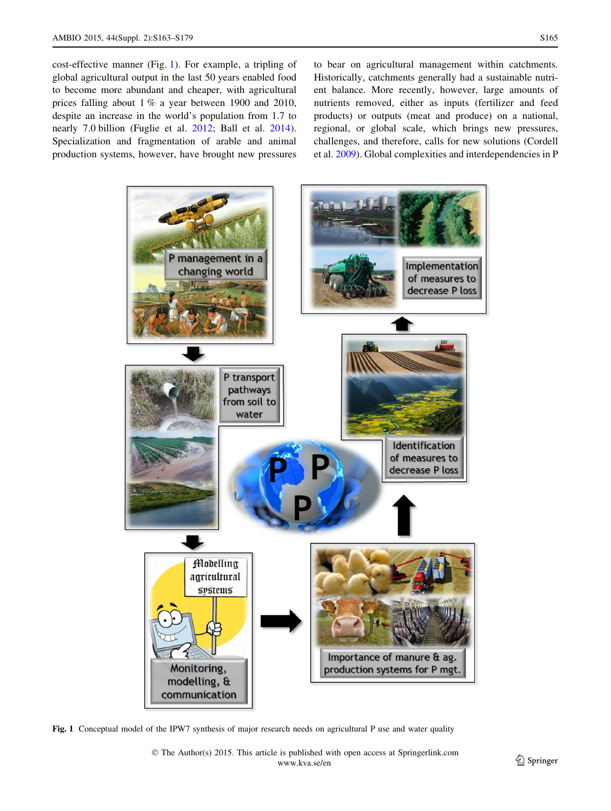<span id="page-2-0"></span>cost-effective manner (Fig. 1). For example, a tripling of global agricultural output in the last 50 years enabled food to become more abundant and cheaper, with agricultural prices falling about 1 % a year between 1900 and 2010, despite an increase in the world's population from 1.7 to nearly 7.0 billion (Fuglie et al. [2012](#page-12-0); Ball et al. [2014](#page-12-0)). Specialization and fragmentation of arable and animal production systems, however, have brought new pressures to bear on agricultural management within catchments. Historically, catchments generally had a sustainable nutrient balance. More recently, however, large amounts of nutrients removed, either as inputs (fertilizer and feed products) or outputs (meat and produce) on a national, regional, or global scale, which brings new pressures, challenges, and therefore, calls for new solutions (Cordell et al. [2009](#page-12-0)). Global complexities and interdependencies in P



Fig. 1 Conceptual model of the IPW7 synthesis of major research needs on agricultural P use and water quality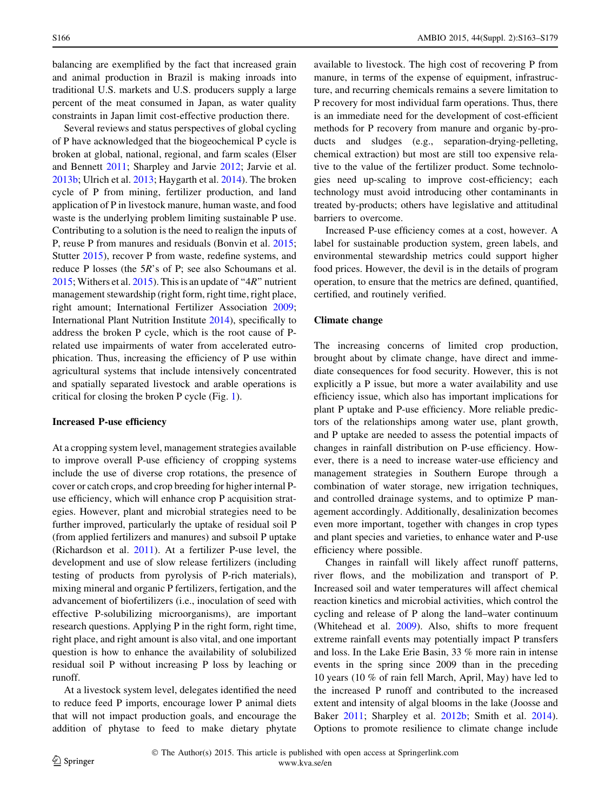balancing are exemplified by the fact that increased grain and animal production in Brazil is making inroads into traditional U.S. markets and U.S. producers supply a large percent of the meat consumed in Japan, as water quality constraints in Japan limit cost-effective production there.

Several reviews and status perspectives of global cycling of P have acknowledged that the biogeochemical P cycle is broken at global, national, regional, and farm scales (Elser and Bennett [2011;](#page-12-0) Sharpley and Jarvie [2012;](#page-14-0) Jarvie et al. [2013b;](#page-13-0) Ulrich et al. [2013](#page-15-0); Haygarth et al. [2014\)](#page-13-0). The broken cycle of P from mining, fertilizer production, and land application of P in livestock manure, human waste, and food waste is the underlying problem limiting sustainable P use. Contributing to a solution is the need to realign the inputs of P, reuse P from manures and residuals (Bonvin et al. [2015](#page-12-0); Stutter [2015\)](#page-14-0), recover P from waste, redefine systems, and reduce P losses (the 5R's of P; see also Schoumans et al. [2015;](#page-14-0) Withers et al.  $2015$ ). This is an update of "4R" nutrient management stewardship (right form, right time, right place, right amount; International Fertilizer Association [2009](#page-13-0); International Plant Nutrition Institute [2014](#page-13-0)), specifically to address the broken P cycle, which is the root cause of Prelated use impairments of water from accelerated eutrophication. Thus, increasing the efficiency of P use within agricultural systems that include intensively concentrated and spatially separated livestock and arable operations is critical for closing the broken P cycle (Fig. [1](#page-2-0)).

#### Increased P-use efficiency

At a cropping system level, management strategies available to improve overall P-use efficiency of cropping systems include the use of diverse crop rotations, the presence of cover or catch crops, and crop breeding for higher internal Puse efficiency, which will enhance crop P acquisition strategies. However, plant and microbial strategies need to be further improved, particularly the uptake of residual soil P (from applied fertilizers and manures) and subsoil P uptake (Richardson et al. [2011\)](#page-14-0). At a fertilizer P-use level, the development and use of slow release fertilizers (including testing of products from pyrolysis of P-rich materials), mixing mineral and organic P fertilizers, fertigation, and the advancement of biofertilizers (i.e., inoculation of seed with effective P-solubilizing microorganisms), are important research questions. Applying P in the right form, right time, right place, and right amount is also vital, and one important question is how to enhance the availability of solubilized residual soil P without increasing P loss by leaching or runoff.

At a livestock system level, delegates identified the need to reduce feed P imports, encourage lower P animal diets that will not impact production goals, and encourage the addition of phytase to feed to make dietary phytate available to livestock. The high cost of recovering P from manure, in terms of the expense of equipment, infrastructure, and recurring chemicals remains a severe limitation to P recovery for most individual farm operations. Thus, there is an immediate need for the development of cost-efficient methods for P recovery from manure and organic by-products and sludges (e.g., separation-drying-pelleting, chemical extraction) but most are still too expensive relative to the value of the fertilizer product. Some technologies need up-scaling to improve cost-efficiency; each technology must avoid introducing other contaminants in treated by-products; others have legislative and attitudinal barriers to overcome.

Increased P-use efficiency comes at a cost, however. A label for sustainable production system, green labels, and environmental stewardship metrics could support higher food prices. However, the devil is in the details of program operation, to ensure that the metrics are defined, quantified, certified, and routinely verified.

#### Climate change

The increasing concerns of limited crop production, brought about by climate change, have direct and immediate consequences for food security. However, this is not explicitly a P issue, but more a water availability and use efficiency issue, which also has important implications for plant P uptake and P-use efficiency. More reliable predictors of the relationships among water use, plant growth, and P uptake are needed to assess the potential impacts of changes in rainfall distribution on P-use efficiency. However, there is a need to increase water-use efficiency and management strategies in Southern Europe through a combination of water storage, new irrigation techniques, and controlled drainage systems, and to optimize P management accordingly. Additionally, desalinization becomes even more important, together with changes in crop types and plant species and varieties, to enhance water and P-use efficiency where possible.

Changes in rainfall will likely affect runoff patterns, river flows, and the mobilization and transport of P. Increased soil and water temperatures will affect chemical reaction kinetics and microbial activities, which control the cycling and release of P along the land–water continuum (Whitehead et al. [2009](#page-15-0)). Also, shifts to more frequent extreme rainfall events may potentially impact P transfers and loss. In the Lake Erie Basin, 33 % more rain in intense events in the spring since 2009 than in the preceding 10 years (10 % of rain fell March, April, May) have led to the increased P runoff and contributed to the increased extent and intensity of algal blooms in the lake (Joosse and Baker [2011;](#page-13-0) Sharpley et al. [2012b](#page-14-0); Smith et al. [2014](#page-14-0)). Options to promote resilience to climate change include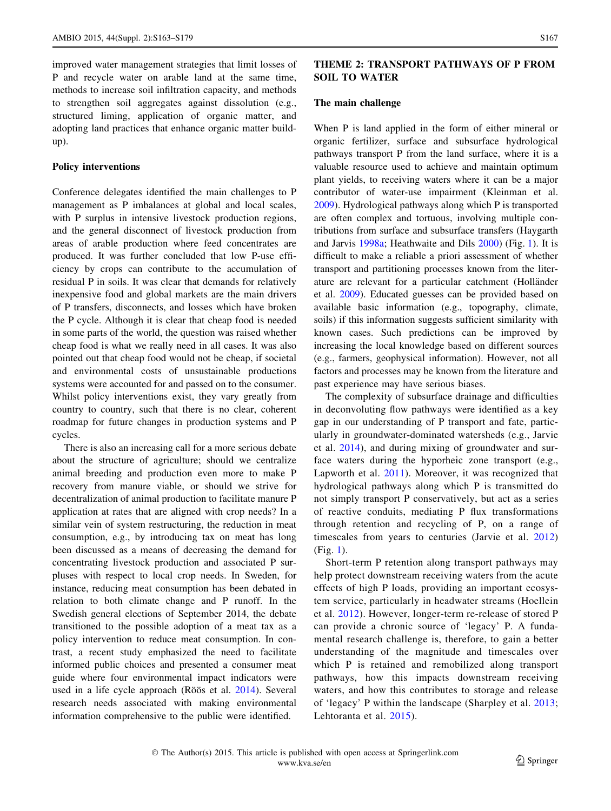improved water management strategies that limit losses of P and recycle water on arable land at the same time, methods to increase soil infiltration capacity, and methods to strengthen soil aggregates against dissolution (e.g., structured liming, application of organic matter, and adopting land practices that enhance organic matter buildup).

#### Policy interventions

Conference delegates identified the main challenges to P management as P imbalances at global and local scales, with P surplus in intensive livestock production regions, and the general disconnect of livestock production from areas of arable production where feed concentrates are produced. It was further concluded that low P-use efficiency by crops can contribute to the accumulation of residual P in soils. It was clear that demands for relatively inexpensive food and global markets are the main drivers of P transfers, disconnects, and losses which have broken the P cycle. Although it is clear that cheap food is needed in some parts of the world, the question was raised whether cheap food is what we really need in all cases. It was also pointed out that cheap food would not be cheap, if societal and environmental costs of unsustainable productions systems were accounted for and passed on to the consumer. Whilst policy interventions exist, they vary greatly from country to country, such that there is no clear, coherent roadmap for future changes in production systems and P cycles.

There is also an increasing call for a more serious debate about the structure of agriculture; should we centralize animal breeding and production even more to make P recovery from manure viable, or should we strive for decentralization of animal production to facilitate manure P application at rates that are aligned with crop needs? In a similar vein of system restructuring, the reduction in meat consumption, e.g., by introducing tax on meat has long been discussed as a means of decreasing the demand for concentrating livestock production and associated P surpluses with respect to local crop needs. In Sweden, for instance, reducing meat consumption has been debated in relation to both climate change and P runoff. In the Swedish general elections of September 2014, the debate transitioned to the possible adoption of a meat tax as a policy intervention to reduce meat consumption. In contrast, a recent study emphasized the need to facilitate informed public choices and presented a consumer meat guide where four environmental impact indicators were used in a life cycle approach (Röös et al. [2014](#page-14-0)). Several research needs associated with making environmental information comprehensive to the public were identified.

# THEME 2: TRANSPORT PATHWAYS OF P FROM SOIL TO WATER

#### The main challenge

When P is land applied in the form of either mineral or organic fertilizer, surface and subsurface hydrological pathways transport P from the land surface, where it is a valuable resource used to achieve and maintain optimum plant yields, to receiving waters where it can be a major contributor of water-use impairment (Kleinman et al. [2009](#page-13-0)). Hydrological pathways along which P is transported are often complex and tortuous, involving multiple contributions from surface and subsurface transfers (Haygarth and Jarvis [1998a;](#page-13-0) Heathwaite and Dils [2000](#page-13-0)) (Fig. [1](#page-2-0)). It is difficult to make a reliable a priori assessment of whether transport and partitioning processes known from the literature are relevant for a particular catchment (Holländer et al. [2009](#page-13-0)). Educated guesses can be provided based on available basic information (e.g., topography, climate, soils) if this information suggests sufficient similarity with known cases. Such predictions can be improved by increasing the local knowledge based on different sources (e.g., farmers, geophysical information). However, not all factors and processes may be known from the literature and past experience may have serious biases.

The complexity of subsurface drainage and difficulties in deconvoluting flow pathways were identified as a key gap in our understanding of P transport and fate, particularly in groundwater-dominated watersheds (e.g., Jarvie et al. [2014](#page-13-0)), and during mixing of groundwater and surface waters during the hyporheic zone transport (e.g., Lapworth et al. [2011\)](#page-13-0). Moreover, it was recognized that hydrological pathways along which P is transmitted do not simply transport P conservatively, but act as a series of reactive conduits, mediating P flux transformations through retention and recycling of P, on a range of timescales from years to centuries (Jarvie et al. [2012\)](#page-13-0) (Fig. [1](#page-2-0)).

Short-term P retention along transport pathways may help protect downstream receiving waters from the acute effects of high P loads, providing an important ecosystem service, particularly in headwater streams (Hoellein et al. [2012](#page-13-0)). However, longer-term re-release of stored P can provide a chronic source of 'legacy' P. A fundamental research challenge is, therefore, to gain a better understanding of the magnitude and timescales over which P is retained and remobilized along transport pathways, how this impacts downstream receiving waters, and how this contributes to storage and release of 'legacy' P within the landscape (Sharpley et al. [2013](#page-14-0); Lehtoranta et al. [2015\)](#page-13-0).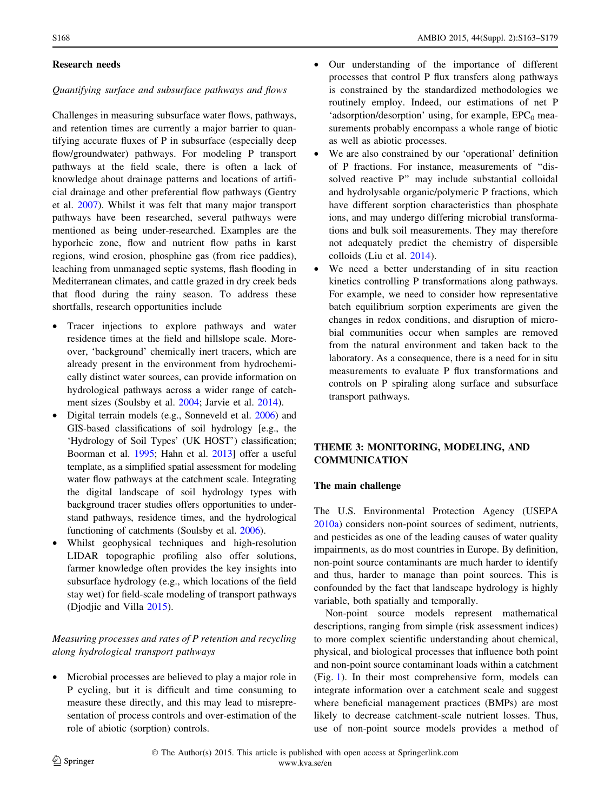### Research needs

### Quantifying surface and subsurface pathways and flows

Challenges in measuring subsurface water flows, pathways, and retention times are currently a major barrier to quantifying accurate fluxes of P in subsurface (especially deep flow/groundwater) pathways. For modeling P transport pathways at the field scale, there is often a lack of knowledge about drainage patterns and locations of artificial drainage and other preferential flow pathways (Gentry et al. [2007\)](#page-12-0). Whilst it was felt that many major transport pathways have been researched, several pathways were mentioned as being under-researched. Examples are the hyporheic zone, flow and nutrient flow paths in karst regions, wind erosion, phosphine gas (from rice paddies), leaching from unmanaged septic systems, flash flooding in Mediterranean climates, and cattle grazed in dry creek beds that flood during the rainy season. To address these shortfalls, research opportunities include

- Tracer injections to explore pathways and water residence times at the field and hillslope scale. Moreover, 'background' chemically inert tracers, which are already present in the environment from hydrochemically distinct water sources, can provide information on hydrological pathways across a wider range of catchment sizes (Soulsby et al. [2004](#page-14-0); Jarvie et al. [2014](#page-13-0)).
- Digital terrain models (e.g., Sonneveld et al. [2006](#page-14-0)) and GIS-based classifications of soil hydrology [e.g., the 'Hydrology of Soil Types' (UK HOST') classification; Boorman et al. [1995](#page-12-0); Hahn et al. [2013\]](#page-12-0) offer a useful template, as a simplified spatial assessment for modeling water flow pathways at the catchment scale. Integrating the digital landscape of soil hydrology types with background tracer studies offers opportunities to understand pathways, residence times, and the hydrological functioning of catchments (Soulsby et al. [2006\)](#page-14-0).
- Whilst geophysical techniques and high-resolution LIDAR topographic profiling also offer solutions, farmer knowledge often provides the key insights into subsurface hydrology (e.g., which locations of the field stay wet) for field-scale modeling of transport pathways (Djodjic and Villa [2015](#page-12-0)).

# Measuring processes and rates of P retention and recycling along hydrological transport pathways

• Microbial processes are believed to play a major role in P cycling, but it is difficult and time consuming to measure these directly, and this may lead to misrepresentation of process controls and over-estimation of the role of abiotic (sorption) controls.

- Our understanding of the importance of different processes that control P flux transfers along pathways is constrained by the standardized methodologies we routinely employ. Indeed, our estimations of net P 'adsorption/desorption' using, for example,  $EPC<sub>0</sub>$  measurements probably encompass a whole range of biotic as well as abiotic processes.
- We are also constrained by our 'operational' definition of P fractions. For instance, measurements of ''dissolved reactive P'' may include substantial colloidal and hydrolysable organic/polymeric P fractions, which have different sorption characteristics than phosphate ions, and may undergo differing microbial transformations and bulk soil measurements. They may therefore not adequately predict the chemistry of dispersible colloids (Liu et al. [2014\)](#page-14-0).
- We need a better understanding of in situ reaction kinetics controlling P transformations along pathways. For example, we need to consider how representative batch equilibrium sorption experiments are given the changes in redox conditions, and disruption of microbial communities occur when samples are removed from the natural environment and taken back to the laboratory. As a consequence, there is a need for in situ measurements to evaluate P flux transformations and controls on P spiraling along surface and subsurface transport pathways.

# THEME 3: MONITORING, MODELING, AND COMMUNICATION

### The main challenge

The U.S. Environmental Protection Agency (USEPA [2010a\)](#page-15-0) considers non-point sources of sediment, nutrients, and pesticides as one of the leading causes of water quality impairments, as do most countries in Europe. By definition, non-point source contaminants are much harder to identify and thus, harder to manage than point sources. This is confounded by the fact that landscape hydrology is highly variable, both spatially and temporally.

Non-point source models represent mathematical descriptions, ranging from simple (risk assessment indices) to more complex scientific understanding about chemical, physical, and biological processes that influence both point and non-point source contaminant loads within a catchment (Fig. [1\)](#page-2-0). In their most comprehensive form, models can integrate information over a catchment scale and suggest where beneficial management practices (BMPs) are most likely to decrease catchment-scale nutrient losses. Thus, use of non-point source models provides a method of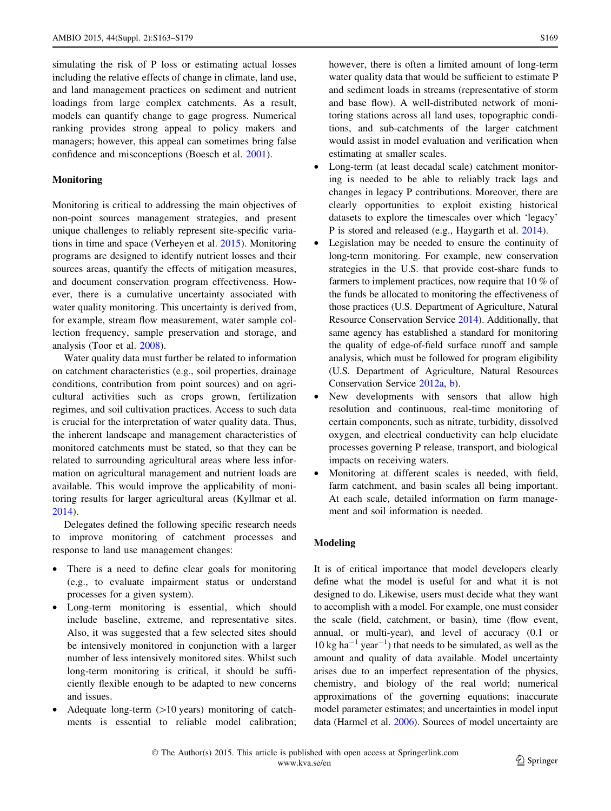simulating the risk of P loss or estimating actual losses including the relative effects of change in climate, land use, and land management practices on sediment and nutrient loadings from large complex catchments. As a result, models can quantify change to gage progress. Numerical ranking provides strong appeal to policy makers and managers; however, this appeal can sometimes bring false confidence and misconceptions (Boesch et al. [2001\)](#page-12-0).

#### Monitoring

Monitoring is critical to addressing the main objectives of non-point sources management strategies, and present unique challenges to reliably represent site-specific variations in time and space (Verheyen et al. [2015\)](#page-15-0). Monitoring programs are designed to identify nutrient losses and their sources areas, quantify the effects of mitigation measures, and document conservation program effectiveness. However, there is a cumulative uncertainty associated with water quality monitoring. This uncertainty is derived from, for example, stream flow measurement, water sample collection frequency, sample preservation and storage, and analysis (Toor et al. [2008](#page-14-0)).

Water quality data must further be related to information on catchment characteristics (e.g., soil properties, drainage conditions, contribution from point sources) and on agricultural activities such as crops grown, fertilization regimes, and soil cultivation practices. Access to such data is crucial for the interpretation of water quality data. Thus, the inherent landscape and management characteristics of monitored catchments must be stated, so that they can be related to surrounding agricultural areas where less information on agricultural management and nutrient loads are available. This would improve the applicability of monitoring results for larger agricultural areas (Kyllmar et al. [2014\)](#page-13-0).

Delegates defined the following specific research needs to improve monitoring of catchment processes and response to land use management changes:

- There is a need to define clear goals for monitoring (e.g., to evaluate impairment status or understand processes for a given system).
- Long-term monitoring is essential, which should include baseline, extreme, and representative sites. Also, it was suggested that a few selected sites should be intensively monitored in conjunction with a larger number of less intensively monitored sites. Whilst such long-term monitoring is critical, it should be sufficiently flexible enough to be adapted to new concerns and issues.
- Adequate long-term  $(>10 \text{ years})$  monitoring of catchments is essential to reliable model calibration;

however, there is often a limited amount of long-term water quality data that would be sufficient to estimate P and sediment loads in streams (representative of storm and base flow). A well-distributed network of monitoring stations across all land uses, topographic conditions, and sub-catchments of the larger catchment would assist in model evaluation and verification when estimating at smaller scales.

- Long-term (at least decadal scale) catchment monitoring is needed to be able to reliably track lags and changes in legacy P contributions. Moreover, there are clearly opportunities to exploit existing historical datasets to explore the timescales over which 'legacy' P is stored and released (e.g., Haygarth et al. [2014](#page-13-0)).
- Legislation may be needed to ensure the continuity of long-term monitoring. For example, new conservation strategies in the U.S. that provide cost-share funds to farmers to implement practices, now require that 10 % of the funds be allocated to monitoring the effectiveness of those practices (U.S. Department of Agriculture, Natural Resource Conservation Service [2014](#page-15-0)). Additionally, that same agency has established a standard for monitoring the quality of edge-of-field surface runoff and sample analysis, which must be followed for program eligibility (U.S. Department of Agriculture, Natural Resources Conservation Service [2012a,](#page-15-0) [b](#page-15-0)).
- New developments with sensors that allow high resolution and continuous, real-time monitoring of certain components, such as nitrate, turbidity, dissolved oxygen, and electrical conductivity can help elucidate processes governing P release, transport, and biological impacts on receiving waters.
- Monitoring at different scales is needed, with field, farm catchment, and basin scales all being important. At each scale, detailed information on farm management and soil information is needed.

### Modeling

It is of critical importance that model developers clearly define what the model is useful for and what it is not designed to do. Likewise, users must decide what they want to accomplish with a model. For example, one must consider the scale (field, catchment, or basin), time (flow event, annual, or multi-year), and level of accuracy (0.1 or  $10 \text{ kg ha}^{-1}$  year<sup>-1</sup>) that needs to be simulated, as well as the amount and quality of data available. Model uncertainty arises due to an imperfect representation of the physics, chemistry, and biology of the real world; numerical approximations of the governing equations; inaccurate model parameter estimates; and uncertainties in model input data (Harmel et al. [2006\)](#page-13-0). Sources of model uncertainty are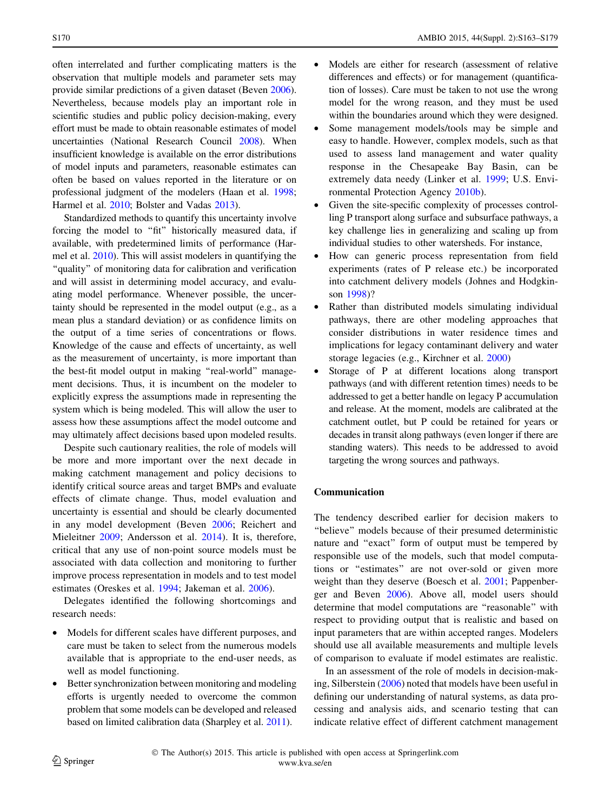often interrelated and further complicating matters is the observation that multiple models and parameter sets may provide similar predictions of a given dataset (Beven [2006](#page-12-0)). Nevertheless, because models play an important role in scientific studies and public policy decision-making, every effort must be made to obtain reasonable estimates of model uncertainties (National Research Council [2008\)](#page-14-0). When insufficient knowledge is available on the error distributions of model inputs and parameters, reasonable estimates can often be based on values reported in the literature or on professional judgment of the modelers (Haan et al. [1998](#page-12-0); Harmel et al. [2010;](#page-13-0) Bolster and Vadas [2013\)](#page-12-0).

Standardized methods to quantify this uncertainty involve forcing the model to "fit" historically measured data, if available, with predetermined limits of performance (Harmel et al. [2010](#page-13-0)). This will assist modelers in quantifying the "quality" of monitoring data for calibration and verification and will assist in determining model accuracy, and evaluating model performance. Whenever possible, the uncertainty should be represented in the model output (e.g., as a mean plus a standard deviation) or as confidence limits on the output of a time series of concentrations or flows. Knowledge of the cause and effects of uncertainty, as well as the measurement of uncertainty, is more important than the best-fit model output in making "real-world" management decisions. Thus, it is incumbent on the modeler to explicitly express the assumptions made in representing the system which is being modeled. This will allow the user to assess how these assumptions affect the model outcome and may ultimately affect decisions based upon modeled results.

Despite such cautionary realities, the role of models will be more and more important over the next decade in making catchment management and policy decisions to identify critical source areas and target BMPs and evaluate effects of climate change. Thus, model evaluation and uncertainty is essential and should be clearly documented in any model development (Beven [2006;](#page-12-0) Reichert and Mieleitner [2009](#page-14-0); Andersson et al. [2014\)](#page-12-0). It is, therefore, critical that any use of non-point source models must be associated with data collection and monitoring to further improve process representation in models and to test model estimates (Oreskes et al. [1994](#page-14-0); Jakeman et al. [2006](#page-13-0)).

Delegates identified the following shortcomings and research needs:

- Models for different scales have different purposes, and care must be taken to select from the numerous models available that is appropriate to the end-user needs, as well as model functioning.
- Better synchronization between monitoring and modeling efforts is urgently needed to overcome the common problem that some models can be developed and released based on limited calibration data (Sharpley et al. [2011](#page-14-0)).
- Models are either for research (assessment of relative differences and effects) or for management (quantification of losses). Care must be taken to not use the wrong model for the wrong reason, and they must be used within the boundaries around which they were designed.
- Some management models/tools may be simple and easy to handle. However, complex models, such as that used to assess land management and water quality response in the Chesapeake Bay Basin, can be extremely data needy (Linker et al. [1999](#page-13-0); U.S. Environmental Protection Agency [2010b\)](#page-15-0).
- Given the site-specific complexity of processes controlling P transport along surface and subsurface pathways, a key challenge lies in generalizing and scaling up from individual studies to other watersheds. For instance,
- How can generic process representation from field experiments (rates of P release etc.) be incorporated into catchment delivery models (Johnes and Hodgkinson [1998\)](#page-13-0)?
- Rather than distributed models simulating individual pathways, there are other modeling approaches that consider distributions in water residence times and implications for legacy contaminant delivery and water storage legacies (e.g., Kirchner et al. [2000\)](#page-13-0)
- Storage of P at different locations along transport pathways (and with different retention times) needs to be addressed to get a better handle on legacy P accumulation and release. At the moment, models are calibrated at the catchment outlet, but P could be retained for years or decades in transit along pathways (even longer if there are standing waters). This needs to be addressed to avoid targeting the wrong sources and pathways.

## Communication

The tendency described earlier for decision makers to ''believe'' models because of their presumed deterministic nature and ''exact'' form of output must be tempered by responsible use of the models, such that model computations or ''estimates'' are not over-sold or given more weight than they deserve (Boesch et al. [2001](#page-12-0); Pappenberger and Beven [2006\)](#page-14-0). Above all, model users should determine that model computations are ''reasonable'' with respect to providing output that is realistic and based on input parameters that are within accepted ranges. Modelers should use all available measurements and multiple levels of comparison to evaluate if model estimates are realistic.

In an assessment of the role of models in decision-making, Silberstein [\(2006](#page-14-0)) noted that models have been useful in defining our understanding of natural systems, as data processing and analysis aids, and scenario testing that can indicate relative effect of different catchment management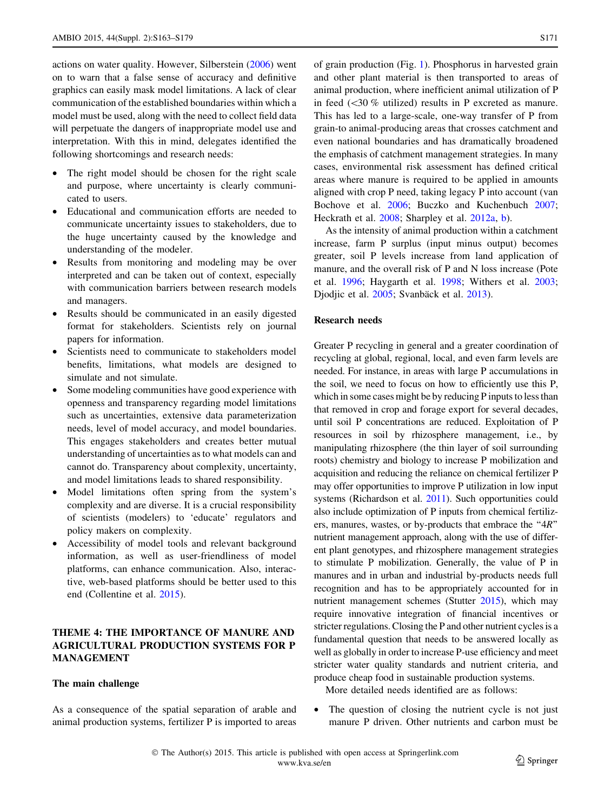actions on water quality. However, Silberstein ([2006\)](#page-14-0) went on to warn that a false sense of accuracy and definitive graphics can easily mask model limitations. A lack of clear communication of the established boundaries within which a model must be used, along with the need to collect field data will perpetuate the dangers of inappropriate model use and interpretation. With this in mind, delegates identified the following shortcomings and research needs:

- The right model should be chosen for the right scale and purpose, where uncertainty is clearly communicated to users.
- Educational and communication efforts are needed to communicate uncertainty issues to stakeholders, due to the huge uncertainty caused by the knowledge and understanding of the modeler.
- Results from monitoring and modeling may be over interpreted and can be taken out of context, especially with communication barriers between research models and managers.
- Results should be communicated in an easily digested format for stakeholders. Scientists rely on journal papers for information.
- Scientists need to communicate to stakeholders model benefits, limitations, what models are designed to simulate and not simulate.
- Some modeling communities have good experience with openness and transparency regarding model limitations such as uncertainties, extensive data parameterization needs, level of model accuracy, and model boundaries. This engages stakeholders and creates better mutual understanding of uncertainties as to what models can and cannot do. Transparency about complexity, uncertainty, and model limitations leads to shared responsibility.
- Model limitations often spring from the system's complexity and are diverse. It is a crucial responsibility of scientists (modelers) to 'educate' regulators and policy makers on complexity.
- Accessibility of model tools and relevant background information, as well as user-friendliness of model platforms, can enhance communication. Also, interactive, web-based platforms should be better used to this end (Collentine et al. [2015](#page-12-0)).

# THEME 4: THE IMPORTANCE OF MANURE AND AGRICULTURAL PRODUCTION SYSTEMS FOR P MANAGEMENT

### The main challenge

As a consequence of the spatial separation of arable and animal production systems, fertilizer P is imported to areas of grain production (Fig. [1\)](#page-2-0). Phosphorus in harvested grain and other plant material is then transported to areas of animal production, where inefficient animal utilization of P in feed  $(\leq 30 \%$  utilized) results in P excreted as manure. This has led to a large-scale, one-way transfer of P from grain-to animal-producing areas that crosses catchment and even national boundaries and has dramatically broadened the emphasis of catchment management strategies. In many cases, environmental risk assessment has defined critical areas where manure is required to be applied in amounts aligned with crop P need, taking legacy P into account (van Bochove et al. [2006;](#page-15-0) Buczko and Kuchenbuch [2007](#page-12-0); Heckrath et al. [2008;](#page-13-0) Sharpley et al. [2012a,](#page-14-0) [b\)](#page-14-0).

As the intensity of animal production within a catchment increase, farm P surplus (input minus output) becomes greater, soil P levels increase from land application of manure, and the overall risk of P and N loss increase (Pote et al. [1996](#page-14-0); Haygarth et al. [1998](#page-13-0); Withers et al. [2003](#page-15-0); Djodjic et al. [2005](#page-12-0); Svanbäck et al. [2013](#page-14-0)).

# Research needs

Greater P recycling in general and a greater coordination of recycling at global, regional, local, and even farm levels are needed. For instance, in areas with large P accumulations in the soil, we need to focus on how to efficiently use this P, which in some cases might be by reducing P inputs to less than that removed in crop and forage export for several decades, until soil P concentrations are reduced. Exploitation of P resources in soil by rhizosphere management, i.e., by manipulating rhizosphere (the thin layer of soil surrounding roots) chemistry and biology to increase P mobilization and acquisition and reducing the reliance on chemical fertilizer P may offer opportunities to improve P utilization in low input systems (Richardson et al. [2011](#page-14-0)). Such opportunities could also include optimization of P inputs from chemical fertilizers, manures, wastes, or by-products that embrace the ''4R'' nutrient management approach, along with the use of different plant genotypes, and rhizosphere management strategies to stimulate P mobilization. Generally, the value of P in manures and in urban and industrial by-products needs full recognition and has to be appropriately accounted for in nutrient management schemes (Stutter [2015](#page-14-0)), which may require innovative integration of financial incentives or stricter regulations. Closing the P and other nutrient cycles is a fundamental question that needs to be answered locally as well as globally in order to increase P-use efficiency and meet stricter water quality standards and nutrient criteria, and produce cheap food in sustainable production systems.

More detailed needs identified are as follows:

• The question of closing the nutrient cycle is not just manure P driven. Other nutrients and carbon must be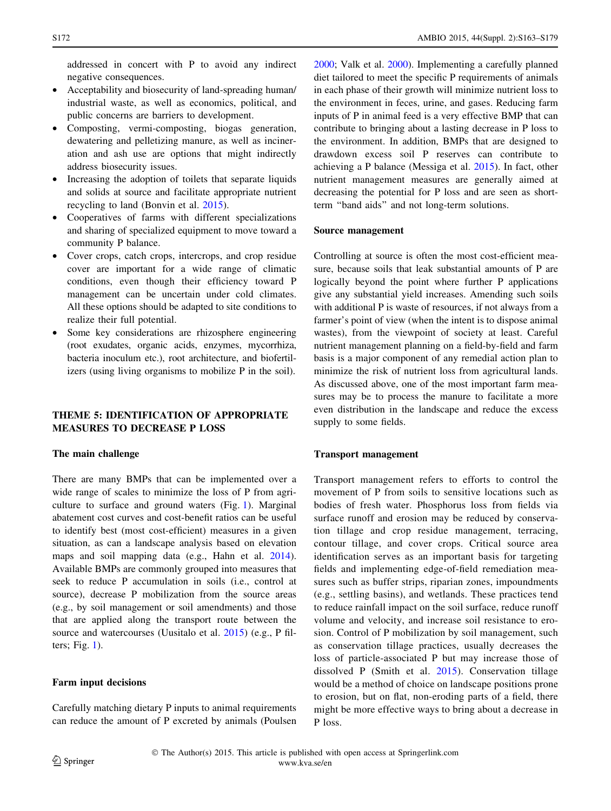addressed in concert with P to avoid any indirect negative consequences.

- Acceptability and biosecurity of land-spreading human/ industrial waste, as well as economics, political, and public concerns are barriers to development.
- Composting, vermi-composting, biogas generation, dewatering and pelletizing manure, as well as incineration and ash use are options that might indirectly address biosecurity issues.
- Increasing the adoption of toilets that separate liquids and solids at source and facilitate appropriate nutrient recycling to land (Bonvin et al. [2015\)](#page-12-0).
- Cooperatives of farms with different specializations and sharing of specialized equipment to move toward a community P balance.
- Cover crops, catch crops, intercrops, and crop residue cover are important for a wide range of climatic conditions, even though their efficiency toward P management can be uncertain under cold climates. All these options should be adapted to site conditions to realize their full potential.
- Some key considerations are rhizosphere engineering (root exudates, organic acids, enzymes, mycorrhiza, bacteria inoculum etc.), root architecture, and biofertilizers (using living organisms to mobilize P in the soil).

# THEME 5: IDENTIFICATION OF APPROPRIATE MEASURES TO DECREASE P LOSS

### The main challenge

There are many BMPs that can be implemented over a wide range of scales to minimize the loss of P from agriculture to surface and ground waters (Fig. [1\)](#page-2-0). Marginal abatement cost curves and cost-benefit ratios can be useful to identify best (most cost-efficient) measures in a given situation, as can a landscape analysis based on elevation maps and soil mapping data (e.g., Hahn et al. [2014](#page-13-0)). Available BMPs are commonly grouped into measures that seek to reduce P accumulation in soils (i.e., control at source), decrease P mobilization from the source areas (e.g., by soil management or soil amendments) and those that are applied along the transport route between the source and watercourses (Uusitalo et al. [2015](#page-15-0)) (e.g., P filters; Fig. [1\)](#page-2-0).

### Farm input decisions

Carefully matching dietary P inputs to animal requirements can reduce the amount of P excreted by animals (Poulsen [2000](#page-14-0); Valk et al. [2000\)](#page-15-0). Implementing a carefully planned diet tailored to meet the specific P requirements of animals in each phase of their growth will minimize nutrient loss to the environment in feces, urine, and gases. Reducing farm inputs of P in animal feed is a very effective BMP that can contribute to bringing about a lasting decrease in P loss to the environment. In addition, BMPs that are designed to drawdown excess soil P reserves can contribute to achieving a P balance (Messiga et al. [2015](#page-14-0)). In fact, other nutrient management measures are generally aimed at decreasing the potential for P loss and are seen as shortterm ''band aids'' and not long-term solutions.

#### Source management

Controlling at source is often the most cost-efficient measure, because soils that leak substantial amounts of P are logically beyond the point where further P applications give any substantial yield increases. Amending such soils with additional P is waste of resources, if not always from a farmer's point of view (when the intent is to dispose animal wastes), from the viewpoint of society at least. Careful nutrient management planning on a field-by-field and farm basis is a major component of any remedial action plan to minimize the risk of nutrient loss from agricultural lands. As discussed above, one of the most important farm measures may be to process the manure to facilitate a more even distribution in the landscape and reduce the excess supply to some fields.

#### Transport management

Transport management refers to efforts to control the movement of P from soils to sensitive locations such as bodies of fresh water. Phosphorus loss from fields via surface runoff and erosion may be reduced by conservation tillage and crop residue management, terracing, contour tillage, and cover crops. Critical source area identification serves as an important basis for targeting fields and implementing edge-of-field remediation measures such as buffer strips, riparian zones, impoundments (e.g., settling basins), and wetlands. These practices tend to reduce rainfall impact on the soil surface, reduce runoff volume and velocity, and increase soil resistance to erosion. Control of P mobilization by soil management, such as conservation tillage practices, usually decreases the loss of particle-associated P but may increase those of dissolved P (Smith et al. [2015](#page-14-0)). Conservation tillage would be a method of choice on landscape positions prone to erosion, but on flat, non-eroding parts of a field, there might be more effective ways to bring about a decrease in P loss.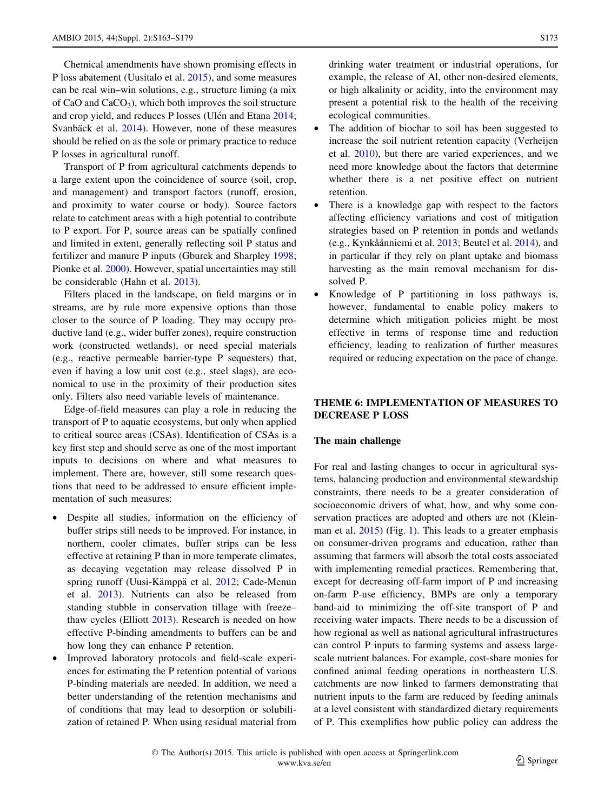Chemical amendments have shown promising effects in P loss abatement (Uusitalo et al. [2015\)](#page-15-0), and some measures can be real win–win solutions, e.g., structure liming (a mix of CaO and CaCO<sub>3</sub>), which both improves the soil structure and crop yield, and reduces P losses (Ulén and Etana [2014](#page-15-0); Svanbäck et al. [2014\)](#page-14-0). However, none of these measures should be relied on as the sole or primary practice to reduce P losses in agricultural runoff.

Transport of P from agricultural catchments depends to a large extent upon the coincidence of source (soil, crop, and management) and transport factors (runoff, erosion, and proximity to water course or body). Source factors relate to catchment areas with a high potential to contribute to P export. For P, source areas can be spatially confined and limited in extent, generally reflecting soil P status and fertilizer and manure P inputs (Gburek and Sharpley [1998](#page-12-0); Pionke et al. [2000\)](#page-14-0). However, spatial uncertainties may still be considerable (Hahn et al. [2013\)](#page-12-0).

Filters placed in the landscape, on field margins or in streams, are by rule more expensive options than those closer to the source of P loading. They may occupy productive land (e.g., wider buffer zones), require construction work (constructed wetlands), or need special materials (e.g., reactive permeable barrier-type P sequesters) that, even if having a low unit cost (e.g., steel slags), are economical to use in the proximity of their production sites only. Filters also need variable levels of maintenance.

Edge-of-field measures can play a role in reducing the transport of P to aquatic ecosystems, but only when applied to critical source areas (CSAs). Identification of CSAs is a key first step and should serve as one of the most important inputs to decisions on where and what measures to implement. There are, however, still some research questions that need to be addressed to ensure efficient implementation of such measures:

- Despite all studies, information on the efficiency of buffer strips still needs to be improved. For instance, in northern, cooler climates, buffer strips can be less effective at retaining P than in more temperate climates, as decaying vegetation may release dissolved P in spring runoff (Uusi-Kämppä et al. [2012](#page-15-0); Cade-Menun et al. [2013\)](#page-12-0). Nutrients can also be released from standing stubble in conservation tillage with freeze– thaw cycles (Elliott [2013](#page-12-0)). Research is needed on how effective P-binding amendments to buffers can be and how long they can enhance P retention.
- Improved laboratory protocols and field-scale experiences for estimating the P retention potential of various P-binding materials are needed. In addition, we need a better understanding of the retention mechanisms and of conditions that may lead to desorption or solubilization of retained P. When using residual material from

drinking water treatment or industrial operations, for example, the release of Al, other non-desired elements, or high alkalinity or acidity, into the environment may present a potential risk to the health of the receiving ecological communities.

- The addition of biochar to soil has been suggested to increase the soil nutrient retention capacity (Verheijen et al. [2010](#page-15-0)), but there are varied experiences, and we need more knowledge about the factors that determine whether there is a net positive effect on nutrient retention.
- There is a knowledge gap with respect to the factors affecting efficiency variations and cost of mitigation strategies based on P retention in ponds and wetlands (e.g., Kynkåånniemi et al. [2013](#page-13-0); Beutel et al. [2014\)](#page-12-0), and in particular if they rely on plant uptake and biomass harvesting as the main removal mechanism for dissolved P.
- Knowledge of P partitioning in loss pathways is, however, fundamental to enable policy makers to determine which mitigation policies might be most effective in terms of response time and reduction efficiency, leading to realization of further measures required or reducing expectation on the pace of change.

# THEME 6: IMPLEMENTATION OF MEASURES TO DECREASE P LOSS

### The main challenge

For real and lasting changes to occur in agricultural systems, balancing production and environmental stewardship constraints, there needs to be a greater consideration of socioeconomic drivers of what, how, and why some conservation practices are adopted and others are not (Kleinman et al. [2015](#page-13-0)) (Fig. [1](#page-2-0)). This leads to a greater emphasis on consumer-driven programs and education, rather than assuming that farmers will absorb the total costs associated with implementing remedial practices. Remembering that, except for decreasing off-farm import of P and increasing on-farm P-use efficiency, BMPs are only a temporary band-aid to minimizing the off-site transport of P and receiving water impacts. There needs to be a discussion of how regional as well as national agricultural infrastructures can control P inputs to farming systems and assess largescale nutrient balances. For example, cost-share monies for confined animal feeding operations in northeastern U.S. catchments are now linked to farmers demonstrating that nutrient inputs to the farm are reduced by feeding animals at a level consistent with standardized dietary requirements of P. This exemplifies how public policy can address the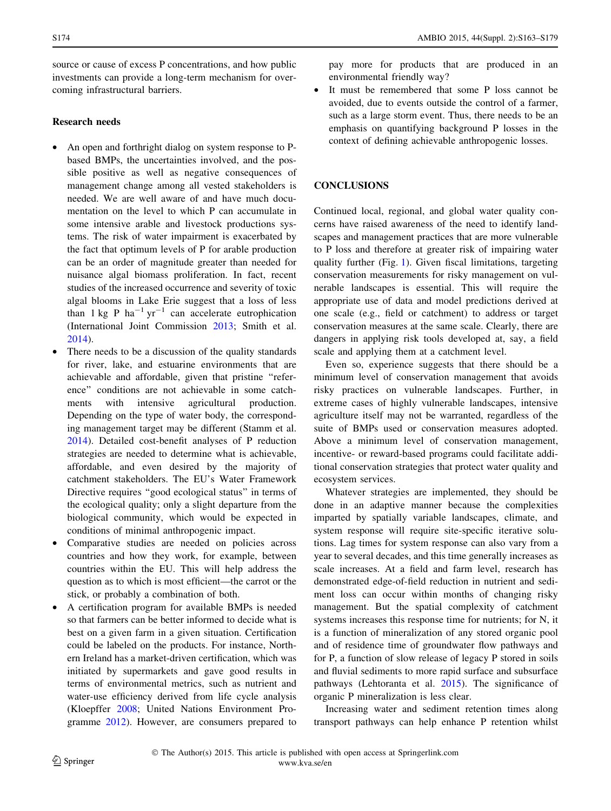source or cause of excess P concentrations, and how public investments can provide a long-term mechanism for overcoming infrastructural barriers.

# Research needs

- An open and forthright dialog on system response to Pbased BMPs, the uncertainties involved, and the possible positive as well as negative consequences of management change among all vested stakeholders is needed. We are well aware of and have much documentation on the level to which P can accumulate in some intensive arable and livestock productions systems. The risk of water impairment is exacerbated by the fact that optimum levels of P for arable production can be an order of magnitude greater than needed for nuisance algal biomass proliferation. In fact, recent studies of the increased occurrence and severity of toxic algal blooms in Lake Erie suggest that a loss of less than  $1 \text{ kg } P$  ha<sup>-1</sup> yr<sup>-1</sup> can accelerate eutrophication (International Joint Commission [2013;](#page-13-0) Smith et al. [2014\)](#page-14-0).
- There needs to be a discussion of the quality standards for river, lake, and estuarine environments that are achievable and affordable, given that pristine ''reference'' conditions are not achievable in some catchments with intensive agricultural production. Depending on the type of water body, the corresponding management target may be different (Stamm et al. [2014\)](#page-14-0). Detailed cost-benefit analyses of P reduction strategies are needed to determine what is achievable, affordable, and even desired by the majority of catchment stakeholders. The EU's Water Framework Directive requires ''good ecological status'' in terms of the ecological quality; only a slight departure from the biological community, which would be expected in conditions of minimal anthropogenic impact.
- Comparative studies are needed on policies across countries and how they work, for example, between countries within the EU. This will help address the question as to which is most efficient—the carrot or the stick, or probably a combination of both.
- A certification program for available BMPs is needed so that farmers can be better informed to decide what is best on a given farm in a given situation. Certification could be labeled on the products. For instance, Northern Ireland has a market-driven certification, which was initiated by supermarkets and gave good results in terms of environmental metrics, such as nutrient and water-use efficiency derived from life cycle analysis (Kloepffer [2008;](#page-13-0) United Nations Environment Programme [2012](#page-15-0)). However, are consumers prepared to

pay more for products that are produced in an environmental friendly way?

It must be remembered that some P loss cannot be avoided, due to events outside the control of a farmer, such as a large storm event. Thus, there needs to be an emphasis on quantifying background P losses in the context of defining achievable anthropogenic losses.

### **CONCLUSIONS**

Continued local, regional, and global water quality concerns have raised awareness of the need to identify landscapes and management practices that are more vulnerable to P loss and therefore at greater risk of impairing water quality further (Fig. [1\)](#page-2-0). Given fiscal limitations, targeting conservation measurements for risky management on vulnerable landscapes is essential. This will require the appropriate use of data and model predictions derived at one scale (e.g., field or catchment) to address or target conservation measures at the same scale. Clearly, there are dangers in applying risk tools developed at, say, a field scale and applying them at a catchment level.

Even so, experience suggests that there should be a minimum level of conservation management that avoids risky practices on vulnerable landscapes. Further, in extreme cases of highly vulnerable landscapes, intensive agriculture itself may not be warranted, regardless of the suite of BMPs used or conservation measures adopted. Above a minimum level of conservation management, incentive- or reward-based programs could facilitate additional conservation strategies that protect water quality and ecosystem services.

Whatever strategies are implemented, they should be done in an adaptive manner because the complexities imparted by spatially variable landscapes, climate, and system response will require site-specific iterative solutions. Lag times for system response can also vary from a year to several decades, and this time generally increases as scale increases. At a field and farm level, research has demonstrated edge-of-field reduction in nutrient and sediment loss can occur within months of changing risky management. But the spatial complexity of catchment systems increases this response time for nutrients; for N, it is a function of mineralization of any stored organic pool and of residence time of groundwater flow pathways and for P, a function of slow release of legacy P stored in soils and fluvial sediments to more rapid surface and subsurface pathways (Lehtoranta et al. [2015\)](#page-13-0). The significance of organic P mineralization is less clear.

Increasing water and sediment retention times along transport pathways can help enhance P retention whilst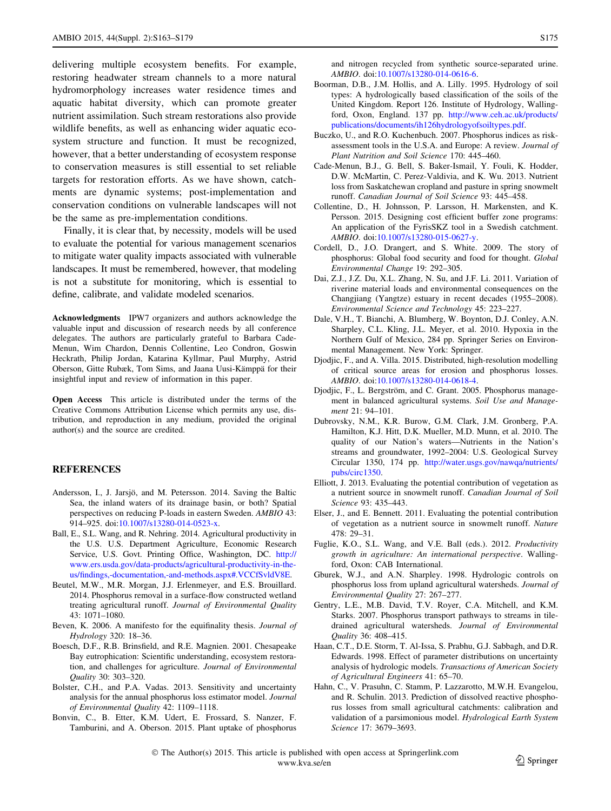<span id="page-12-0"></span>delivering multiple ecosystem benefits. For example, restoring headwater stream channels to a more natural hydromorphology increases water residence times and aquatic habitat diversity, which can promote greater nutrient assimilation. Such stream restorations also provide wildlife benefits, as well as enhancing wider aquatic ecosystem structure and function. It must be recognized, however, that a better understanding of ecosystem response to conservation measures is still essential to set reliable targets for restoration efforts. As we have shown, catchments are dynamic systems; post-implementation and conservation conditions on vulnerable landscapes will not be the same as pre-implementation conditions.

Finally, it is clear that, by necessity, models will be used to evaluate the potential for various management scenarios to mitigate water quality impacts associated with vulnerable landscapes. It must be remembered, however, that modeling is not a substitute for monitoring, which is essential to define, calibrate, and validate modeled scenarios.

Acknowledgments IPW7 organizers and authors acknowledge the valuable input and discussion of research needs by all conference delegates. The authors are particularly grateful to Barbara Cade-Menun, Wim Chardon, Dennis Collentine, Leo Condron, Goswin Heckrath, Philip Jordan, Katarina Kyllmar, Paul Murphy, Astrid Oberson, Gitte Rubæk, Tom Sims, and Jaana Uusi-Kämppä for their insightful input and review of information in this paper.

Open Access This article is distributed under the terms of the Creative Commons Attribution License which permits any use, distribution, and reproduction in any medium, provided the original author(s) and the source are credited.

### **REFERENCES**

- Andersson, I., J. Jarsjö, and M. Petersson. 2014. Saving the Baltic Sea, the inland waters of its drainage basin, or both? Spatial perspectives on reducing P-loads in eastern Sweden. AMBIO 43: 914–925. doi:[10.1007/s13280-014-0523-x.](http://dx.doi.org/10.1007/s13280-014-0523-x)
- Ball, E., S.L. Wang, and R. Nehring. 2014. Agricultural productivity in the U.S. U.S. Department Agriculture, Economic Research Service, U.S. Govt. Printing Office, Washington, DC. [http://](http://www.ers.usda.gov/data-products/agricultural-productivity-in-the-us/findings,-documentation,-and-methods.aspx#.VCCfSvldV8E) [www.ers.usda.gov/data-products/agricultural-productivity-in-the](http://www.ers.usda.gov/data-products/agricultural-productivity-in-the-us/findings,-documentation,-and-methods.aspx#.VCCfSvldV8E)[us/findings,-documentation,-and-methods.aspx#.VCCfSvldV8E.](http://www.ers.usda.gov/data-products/agricultural-productivity-in-the-us/findings,-documentation,-and-methods.aspx#.VCCfSvldV8E)
- Beutel, M.W., M.R. Morgan, J.J. Erlenmeyer, and E.S. Brouillard. 2014. Phosphorus removal in a surface-flow constructed wetland treating agricultural runoff. Journal of Environmental Quality 43: 1071–1080.
- Beven, K. 2006. A manifesto for the equifinality thesis. Journal of Hydrology 320: 18–36.
- Boesch, D.F., R.B. Brinsfield, and R.E. Magnien. 2001. Chesapeake Bay eutrophication: Scientific understanding, ecosystem restoration, and challenges for agriculture. Journal of Environmental Quality 30: 303–320.
- Bolster, C.H., and P.A. Vadas. 2013. Sensitivity and uncertainty analysis for the annual phosphorus loss estimator model. Journal of Environmental Quality 42: 1109–1118.
- Bonvin, C., B. Etter, K.M. Udert, E. Frossard, S. Nanzer, F. Tamburini, and A. Oberson. 2015. Plant uptake of phosphorus

and nitrogen recycled from synthetic source-separated urine. AMBIO. doi:[10.1007/s13280-014-0616-6](http://dx.doi.org/10.1007/s13280-014-0616-6).

- Boorman, D.B., J.M. Hollis, and A. Lilly. 1995. Hydrology of soil types: A hydrologically based classification of the soils of the United Kingdom. Report 126. Institute of Hydrology, Wallingford, Oxon, England. 137 pp. [http://www.ceh.ac.uk/products/](http://www.ceh.ac.uk/products/publications/documents/ih126hydrologyofsoiltypes.pdf) [publications/documents/ih126hydrologyofsoiltypes.pdf](http://www.ceh.ac.uk/products/publications/documents/ih126hydrologyofsoiltypes.pdf).
- Buczko, U., and R.O. Kuchenbuch. 2007. Phosphorus indices as riskassessment tools in the U.S.A. and Europe: A review. Journal of Plant Nutrition and Soil Science 170: 445–460.
- Cade-Menun, B.J., G. Bell, S. Baker-Ismail, Y. Fouli, K. Hodder, D.W. McMartin, C. Perez-Valdivia, and K. Wu. 2013. Nutrient loss from Saskatchewan cropland and pasture in spring snowmelt runoff. Canadian Journal of Soil Science 93: 445–458.
- Collentine, D., H. Johnsson, P. Larsson, H. Markensten, and K. Persson. 2015. Designing cost efficient buffer zone programs: An application of the FyrisSKZ tool in a Swedish catchment. AMBIO. doi:[10.1007/s13280-015-0627-y](http://dx.doi.org/10.1007/s13280-015-0627-y).
- Cordell, D., J.O. Drangert, and S. White. 2009. The story of phosphorus: Global food security and food for thought. Global Environmental Change 19: 292–305.
- Dai, Z.J., J.Z. Du, X.L. Zhang, N. Su, and J.F. Li. 2011. Variation of riverine material loads and environmental consequences on the Changjiang (Yangtze) estuary in recent decades (1955–2008). Environmental Science and Technology 45: 223–227.
- Dale, V.H., T. Bianchi, A. Blumberg, W. Boynton, D.J. Conley, A.N. Sharpley, C.L. Kling, J.L. Meyer, et al. 2010. Hypoxia in the Northern Gulf of Mexico, 284 pp. Springer Series on Environmental Management. New York: Springer.
- Djodjic, F., and A. Villa. 2015. Distributed, high-resolution modelling of critical source areas for erosion and phosphorus losses. AMBIO. doi:[10.1007/s13280-014-0618-4](http://dx.doi.org/10.1007/s13280-014-0618-4).
- Djodjic, F., L. Bergström, and C. Grant. 2005. Phosphorus management in balanced agricultural systems. Soil Use and Management 21: 94–101.
- Dubrovsky, N.M., K.R. Burow, G.M. Clark, J.M. Gronberg, P.A. Hamilton, K.J. Hitt, D.K. Mueller, M.D. Munn, et al. 2010. The quality of our Nation's waters—Nutrients in the Nation's streams and groundwater, 1992–2004: U.S. Geological Survey Circular 1350, 174 pp. [http://water.usgs.gov/nawqa/nutrients/](http://water.usgs.gov/nawqa/nutrients/pubs/circ1350) [pubs/circ1350](http://water.usgs.gov/nawqa/nutrients/pubs/circ1350).
- Elliott, J. 2013. Evaluating the potential contribution of vegetation as a nutrient source in snowmelt runoff. Canadian Journal of Soil Science 93: 435–443.
- Elser, J., and E. Bennett. 2011. Evaluating the potential contribution of vegetation as a nutrient source in snowmelt runoff. Nature 478: 29–31.
- Fuglie, K.O., S.L. Wang, and V.E. Ball (eds.). 2012. Productivity growth in agriculture: An international perspective. Wallingford, Oxon: CAB International.
- Gburek, W.J., and A.N. Sharpley. 1998. Hydrologic controls on phosphorus loss from upland agricultural watersheds. Journal of Environmental Quality 27: 267–277.
- Gentry, L.E., M.B. David, T.V. Royer, C.A. Mitchell, and K.M. Starks. 2007. Phosphorus transport pathways to streams in tiledrained agricultural watersheds. Journal of Environmental Quality 36: 408–415.
- Haan, C.T., D.E. Storm, T. Al-Issa, S. Prabhu, G.J. Sabbagh, and D.R. Edwards. 1998. Effect of parameter distributions on uncertainty analysis of hydrologic models. Transactions of American Society of Agricultural Engineers 41: 65–70.
- Hahn, C., V. Prasuhn, C. Stamm, P. Lazzarotto, M.W.H. Evangelou, and R. Schulin. 2013. Prediction of dissolved reactive phosphorus losses from small agricultural catchments: calibration and validation of a parsimonious model. Hydrological Earth System Science 17: 3679–3693.
- © The Author(s) 2015. This article is published with open access at Springerlink.com www.kva.se/en  $\circled{2}$  Springer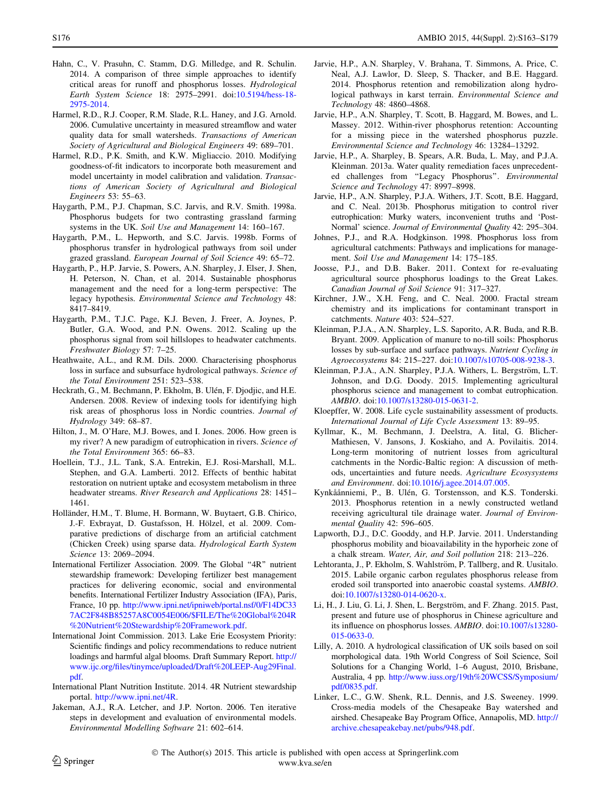- <span id="page-13-0"></span>Hahn, C., V. Prasuhn, C. Stamm, D.G. Milledge, and R. Schulin. 2014. A comparison of three simple approaches to identify critical areas for runoff and phosphorus losses. Hydrological Earth System Science 18: 2975–2991. doi:[10.5194/hess-18-](http://dx.doi.org/10.5194/hess-18-2975-2014) [2975-2014.](http://dx.doi.org/10.5194/hess-18-2975-2014)
- Harmel, R.D., R.J. Cooper, R.M. Slade, R.L. Haney, and J.G. Arnold. 2006. Cumulative uncertainty in measured streamflow and water quality data for small watersheds. Transactions of American Society of Agricultural and Biological Engineers 49: 689–701.
- Harmel, R.D., P.K. Smith, and K.W. Migliaccio. 2010. Modifying goodness-of-fit indicators to incorporate both measurement and model uncertainty in model calibration and validation. Transactions of American Society of Agricultural and Biological Engineers 53: 55–63.
- Haygarth, P.M., P.J. Chapman, S.C. Jarvis, and R.V. Smith. 1998a. Phosphorus budgets for two contrasting grassland farming systems in the UK. Soil Use and Management 14: 160–167.
- Haygarth, P.M., L. Hepworth, and S.C. Jarvis. 1998b. Forms of phosphorus transfer in hydrological pathways from soil under grazed grassland. European Journal of Soil Science 49: 65–72.
- Haygarth, P., H.P. Jarvie, S. Powers, A.N. Sharpley, J. Elser, J. Shen, H. Peterson, N. Chan, et al. 2014. Sustainable phosphorus management and the need for a long-term perspective: The legacy hypothesis. Environmental Science and Technology 48: 8417–8419.
- Haygarth, P.M., T.J.C. Page, K.J. Beven, J. Freer, A. Joynes, P. Butler, G.A. Wood, and P.N. Owens. 2012. Scaling up the phosphorus signal from soil hillslopes to headwater catchments. Freshwater Biology 57: 7–25.
- Heathwaite, A.L., and R.M. Dils. 2000. Characterising phosphorus loss in surface and subsurface hydrological pathways. Science of the Total Environment 251: 523–538.
- Heckrath, G., M. Bechmann, P. Ekholm, B. Ulén, F. Djodjic, and H.E. Andersen. 2008. Review of indexing tools for identifying high risk areas of phosphorus loss in Nordic countries. Journal of Hydrology 349: 68–87.
- Hilton, J., M. O'Hare, M.J. Bowes, and I. Jones. 2006. How green is my river? A new paradigm of eutrophication in rivers. Science of the Total Environment 365: 66–83.
- Hoellein, T.J., J.L. Tank, S.A. Entrekin, E.J. Rosi-Marshall, M.L. Stephen, and G.A. Lamberti. 2012. Effects of benthic habitat restoration on nutrient uptake and ecosystem metabolism in three headwater streams. River Research and Applications 28: 1451– 1461.
- Holländer, H.M., T. Blume, H. Bormann, W. Buytaert, G.B. Chirico, J.-F. Exbrayat, D. Gustafsson, H. Hölzel, et al. 2009. Comparative predictions of discharge from an artificial catchment (Chicken Creek) using sparse data. Hydrological Earth System Science 13: 2069–2094.
- International Fertilizer Association. 2009. The Global ''4R'' nutrient stewardship framework: Developing fertilizer best management practices for delivering economic, social and environmental benefits. International Fertilizer Industry Association (IFA), Paris, France, 10 pp. [http://www.ipni.net/ipniweb/portal.nsf/0/F14DC33](http://www.ipni.net/ipniweb/portal.nsf/0/F14DC337AC2F848B85257A8C0054E006/$FILE/The%20Global%204R%20Nutrient%20Stewardship%20Framework.pdf) [7AC2F848B85257A8C0054E006/\\$FILE/The%20Global%204R](http://www.ipni.net/ipniweb/portal.nsf/0/F14DC337AC2F848B85257A8C0054E006/$FILE/The%20Global%204R%20Nutrient%20Stewardship%20Framework.pdf) [%20Nutrient%20Stewardship%20Framework.pdf.](http://www.ipni.net/ipniweb/portal.nsf/0/F14DC337AC2F848B85257A8C0054E006/$FILE/The%20Global%204R%20Nutrient%20Stewardship%20Framework.pdf)
- International Joint Commission. 2013. Lake Erie Ecosystem Priority: Scientific findings and policy recommendations to reduce nutrient loadings and harmful algal blooms. Draft Summary Report. [http://](http://www.ijc.org/files/tinymce/uploaded/Draft%20LEEP-Aug29Final.pdf) [www.ijc.org/files/tinymce/uploaded/Draft%20LEEP-Aug29Final.](http://www.ijc.org/files/tinymce/uploaded/Draft%20LEEP-Aug29Final.pdf) [pdf](http://www.ijc.org/files/tinymce/uploaded/Draft%20LEEP-Aug29Final.pdf).
- International Plant Nutrition Institute. 2014. 4R Nutrient stewardship portal. [http://www.ipni.net/4R.](http://www.ipni.net/4R)
- Jakeman, A.J., R.A. Letcher, and J.P. Norton. 2006. Ten iterative steps in development and evaluation of environmental models. Environmental Modelling Software 21: 602–614.
- Jarvie, H.P., A.N. Sharpley, V. Brahana, T. Simmons, A. Price, C. Neal, A.J. Lawlor, D. Sleep, S. Thacker, and B.E. Haggard. 2014. Phosphorus retention and remobilization along hydrological pathways in karst terrain. Environmental Science and Technology 48: 4860–4868.
- Jarvie, H.P., A.N. Sharpley, T. Scott, B. Haggard, M. Bowes, and L. Massey. 2012. Within-river phosphorus retention: Accounting for a missing piece in the watershed phosphorus puzzle. Environmental Science and Technology 46: 13284–13292.
- Jarvie, H.P., A. Sharpley, B. Spears, A.R. Buda, L. May, and P.J.A. Kleinman. 2013a. Water quality remediation faces unprecedented challenges from ''Legacy Phosphorus''. Environmental Science and Technology 47: 8997–8998.
- Jarvie, H.P., A.N. Sharpley, P.J.A. Withers, J.T. Scott, B.E. Haggard, and C. Neal. 2013b. Phosphorus mitigation to control river eutrophication: Murky waters, inconvenient truths and 'Post-Normal' science. Journal of Environmental Quality 42: 295–304.
- Johnes, P.J., and R.A. Hodgkinson. 1998. Phosphorus loss from agricultural catchments: Pathways and implications for management. Soil Use and Management 14: 175–185.
- Joosse, P.J., and D.B. Baker. 2011. Context for re-evaluating agricultural source phosphorus loadings to the Great Lakes. Canadian Journal of Soil Science 91: 317–327.
- Kirchner, J.W., X.H. Feng, and C. Neal. 2000. Fractal stream chemistry and its implications for contaminant transport in catchments. Nature 403: 524–527.
- Kleinman, P.J.A., A.N. Sharpley, L.S. Saporito, A.R. Buda, and R.B. Bryant. 2009. Application of manure to no-till soils: Phosphorus losses by sub-surface and surface pathways. Nutrient Cycling in Agroecosystems 84: 215–227. doi[:10.1007/s10705-008-9238-3.](http://dx.doi.org/10.1007/s10705-008-9238-3)
- Kleinman, P.J.A., A.N. Sharpley, P.J.A. Withers, L. Bergström, L.T. Johnson, and D.G. Doody. 2015. Implementing agricultural phosphorus science and management to combat eutrophication. AMBIO. doi:[10.1007/s13280-015-0631-2](http://dx.doi.org/10.1007/s13280-015-0631-2).
- Kloepffer, W. 2008. Life cycle sustainability assessment of products. International Journal of Life Cycle Assessment 13: 89–95.
- Kyllmar, K., M. Bechmann, J. Deelstra, A. Iital, G. Blicher-Mathiesen, V. Jansons, J. Koskiaho, and A. Povilaitis. 2014. Long-term monitoring of nutrient losses from agricultural catchments in the Nordic-Baltic region: A discussion of methods, uncertainties and future needs. Agriculture Ecosysystems and Environment. doi:[10.1016/j.agee.2014.07.005](http://dx.doi.org/10.1016/j.agee.2014.07.005).
- Kynkåånniemi, P., B. Ulén, G. Torstensson, and K.S. Tonderski. 2013. Phosphorus retention in a newly constructed wetland receiving agricultural tile drainage water. Journal of Environmental Quality 42: 596-605.
- Lapworth, D.J., D.C. Gooddy, and H.P. Jarvie. 2011. Understanding phosphorus mobility and bioavailability in the hyporheic zone of a chalk stream. Water, Air, and Soil pollution 218: 213–226.
- Lehtoranta, J., P. Ekholm, S. Wahlström, P. Tallberg, and R. Uusitalo. 2015. Labile organic carbon regulates phosphorus release from eroded soil transported into anaerobic coastal systems. AMBIO. doi[:10.1007/s13280-014-0620-x](http://dx.doi.org/10.1007/s13280-014-0620-x).
- Li, H., J. Liu, G. Li, J. Shen, L. Bergström, and F. Zhang. 2015. Past, present and future use of phosphorus in Chinese agriculture and its influence on phosphorus losses. AMBIO. doi[:10.1007/s13280-](http://dx.doi.org/10.1007/s13280-015-0633-0) [015-0633-0.](http://dx.doi.org/10.1007/s13280-015-0633-0)
- Lilly, A. 2010. A hydrological classification of UK soils based on soil morphological data. 19th World Congress of Soil Science, Soil Solutions for a Changing World, 1–6 August, 2010, Brisbane, Australia, 4 pp. [http://www.iuss.org/19th%20WCSS/Symposium/](http://www.iuss.org/19th%20WCSS/Symposium/pdf/0835.pdf) [pdf/0835.pdf](http://www.iuss.org/19th%20WCSS/Symposium/pdf/0835.pdf).
- Linker, L.C., G.W. Shenk, R.L. Dennis, and J.S. Sweeney. 1999. Cross-media models of the Chesapeake Bay watershed and airshed. Chesapeake Bay Program Office, Annapolis, MD. [http://](http://archive.chesapeakebay.net/pubs/948.pdf) [archive.chesapeakebay.net/pubs/948.pdf.](http://archive.chesapeakebay.net/pubs/948.pdf)

 The Author(s) 2015. This article is published with open access at Springerlink.com www.kva.se/en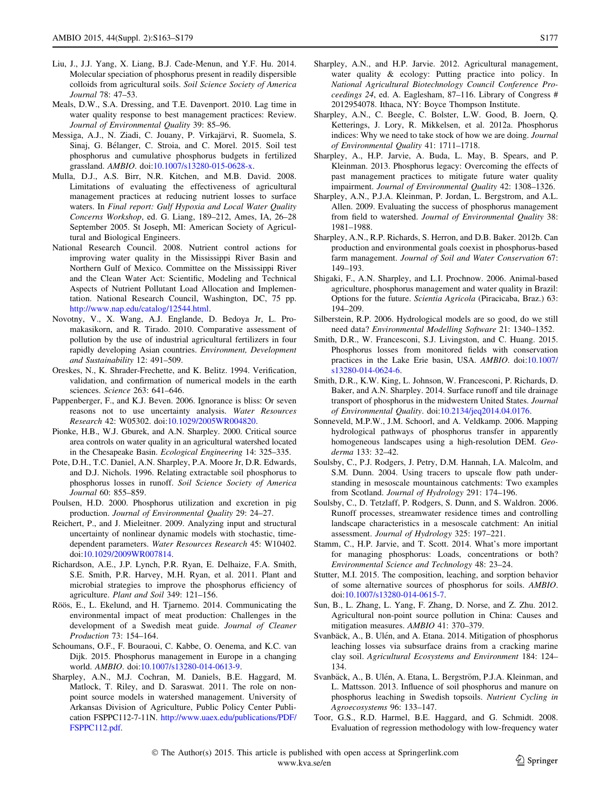- <span id="page-14-0"></span>Liu, J., J.J. Yang, X. Liang, B.J. Cade-Menun, and Y.F. Hu. 2014. Molecular speciation of phosphorus present in readily dispersible colloids from agricultural soils. Soil Science Society of America Journal 78: 47–53.
- Meals, D.W., S.A. Dressing, and T.E. Davenport. 2010. Lag time in water quality response to best management practices: Review. Journal of Environmental Quality 39: 85–96.
- Messiga, A.J., N. Ziadi, C. Jouany, P. Virkajärvi, R. Suomela, S. Sinaj, G. Bélanger, C. Stroia, and C. Morel. 2015. Soil test phosphorus and cumulative phosphorus budgets in fertilized grassland. AMBIO. doi:[10.1007/s13280-015-0628-x](http://dx.doi.org/10.1007/s13280-015-0628-x).
- Mulla, D.J., A.S. Birr, N.R. Kitchen, and M.B. David. 2008. Limitations of evaluating the effectiveness of agricultural management practices at reducing nutrient losses to surface waters. In Final report: Gulf Hypoxia and Local Water Quality Concerns Workshop, ed. G. Liang, 189–212, Ames, IA, 26–28 September 2005. St Joseph, MI: American Society of Agricultural and Biological Engineers.
- National Research Council. 2008. Nutrient control actions for improving water quality in the Mississippi River Basin and Northern Gulf of Mexico. Committee on the Mississippi River and the Clean Water Act: Scientific, Modeling and Technical Aspects of Nutrient Pollutant Load Allocation and Implementation. National Research Council, Washington, DC, 75 pp. [http://www.nap.edu/catalog/12544.html.](http://www.nap.edu/catalog/12544.html)
- Novotny, V., X. Wang, A.J. Englande, D. Bedoya Jr, L. Promakasikorn, and R. Tirado. 2010. Comparative assessment of pollution by the use of industrial agricultural fertilizers in four rapidly developing Asian countries. Environment, Development and Sustainability 12: 491–509.
- Oreskes, N., K. Shrader-Frechette, and K. Belitz. 1994. Verification, validation, and confirmation of numerical models in the earth sciences. Science 263: 641–646.
- Pappenberger, F., and K.J. Beven. 2006. Ignorance is bliss: Or seven reasons not to use uncertainty analysis. Water Resources Research 42: W05302. doi:[10.1029/2005WR004820](http://dx.doi.org/10.1029/2005WR004820).
- Pionke, H.B., W.J. Gburek, and A.N. Sharpley. 2000. Critical source area controls on water quality in an agricultural watershed located in the Chesapeake Basin. Ecological Engineering 14: 325–335.
- Pote, D.H., T.C. Daniel, A.N. Sharpley, P.A. Moore Jr, D.R. Edwards, and D.J. Nichols. 1996. Relating extractable soil phosphorus to phosphorus losses in runoff. Soil Science Society of America Journal 60: 855–859.
- Poulsen, H.D. 2000. Phosphorus utilization and excretion in pig production. Journal of Environmental Quality 29: 24–27.
- Reichert, P., and J. Mieleitner. 2009. Analyzing input and structural uncertainty of nonlinear dynamic models with stochastic, timedependent parameters. Water Resources Research 45: W10402. doi[:10.1029/2009WR007814](http://dx.doi.org/10.1029/2009WR007814).
- Richardson, A.E., J.P. Lynch, P.R. Ryan, E. Delhaize, F.A. Smith, S.E. Smith, P.R. Harvey, M.H. Ryan, et al. 2011. Plant and microbial strategies to improve the phosphorus efficiency of agriculture. Plant and Soil 349: 121–156.
- Röös, E., L. Ekelund, and H. Tjarnemo. 2014. Communicating the environmental impact of meat production: Challenges in the development of a Swedish meat guide. Journal of Cleaner Production 73: 154–164.
- Schoumans, O.F., F. Bouraoui, C. Kabbe, O. Oenema, and K.C. van Dijk. 2015. Phosphorus management in Europe in a changing world. AMBIO. doi[:10.1007/s13280-014-0613-9.](http://dx.doi.org/10.1007/s13280-014-0613-9)
- Sharpley, A.N., M.J. Cochran, M. Daniels, B.E. Haggard, M. Matlock, T. Riley, and D. Saraswat. 2011. The role on nonpoint source models in watershed management. University of Arkansas Division of Agriculture, Public Policy Center Publication FSPPC112-7-11N. [http://www.uaex.edu/publications/PDF/](http://www.uaex.edu/publications/PDF/FSPPC112.pdf) [FSPPC112.pdf](http://www.uaex.edu/publications/PDF/FSPPC112.pdf).
- Sharpley, A.N., and H.P. Jarvie. 2012. Agricultural management, water quality & ecology: Putting practice into policy. In National Agricultural Biotechnology Council Conference Proceedings 24, ed. A. Eaglesham, 87–116. Library of Congress # 2012954078. Ithaca, NY: Boyce Thompson Institute.
- Sharpley, A.N., C. Beegle, C. Bolster, L.W. Good, B. Joern, Q. Ketterings, J. Lory, R. Mikkelsen, et al. 2012a. Phosphorus indices: Why we need to take stock of how we are doing. Journal of Environmental Quality 41: 1711–1718.
- Sharpley, A., H.P. Jarvie, A. Buda, L. May, B. Spears, and P. Kleinman. 2013. Phosphorus legacy: Overcoming the effects of past management practices to mitigate future water quality impairment. Journal of Environmental Quality 42: 1308–1326.
- Sharpley, A.N., P.J.A. Kleinman, P. Jordan, L. Bergstrom, and A.L. Allen. 2009. Evaluating the success of phosphorus management from field to watershed. Journal of Environmental Quality 38: 1981–1988.
- Sharpley, A.N., R.P. Richards, S. Herron, and D.B. Baker. 2012b. Can production and environmental goals coexist in phosphorus-based farm management. Journal of Soil and Water Conservation 67: 149–193.
- Shigaki, F., A.N. Sharpley, and L.I. Prochnow. 2006. Animal-based agriculture, phosphorus management and water quality in Brazil: Options for the future. Scientia Agricola (Piracicaba, Braz.) 63: 194–209.
- Silberstein, R.P. 2006. Hydrological models are so good, do we still need data? Environmental Modelling Software 21: 1340–1352.
- Smith, D.R., W. Francesconi, S.J. Livingston, and C. Huang. 2015. Phosphorus losses from monitored fields with conservation practices in the Lake Erie basin, USA. AMBIO. doi[:10.1007/](http://dx.doi.org/10.1007/s13280-014-0624-6) [s13280-014-0624-6.](http://dx.doi.org/10.1007/s13280-014-0624-6)
- Smith, D.R., K.W. King, L. Johnson, W. Francesconi, P. Richards, D. Baker, and A.N. Sharpley. 2014. Surface runoff and tile drainage transport of phosphorus in the midwestern United States. Journal of Environmental Quality. doi:[10.2134/jeq2014.04.0176](http://dx.doi.org/10.2134/jeq2014.04.0176).
- Sonneveld, M.P.W., J.M. Schoorl, and A. Veldkamp. 2006. Mapping hydrological pathways of phosphorus transfer in apparently homogeneous landscapes using a high-resolution DEM. Geoderma 133: 32–42.
- Soulsby, C., P.J. Rodgers, J. Petry, D.M. Hannah, I.A. Malcolm, and S.M. Dunn. 2004. Using tracers to upscale flow path understanding in mesoscale mountainous catchments: Two examples from Scotland. Journal of Hydrology 291: 174–196.
- Soulsby, C., D. Tetzlaff, P. Rodgers, S. Dunn, and S. Waldron. 2006. Runoff processes, streamwater residence times and controlling landscape characteristics in a mesoscale catchment: An initial assessment. Journal of Hydrology 325: 197–221.
- Stamm, C., H.P. Jarvie, and T. Scott. 2014. What's more important for managing phosphorus: Loads, concentrations or both? Environmental Science and Technology 48: 23–24.
- Stutter, M.I. 2015. The composition, leaching, and sorption behavior of some alternative sources of phosphorus for soils. AMBIO. doi[:10.1007/s13280-014-0615-7](http://dx.doi.org/10.1007/s13280-014-0615-7).
- Sun, B., L. Zhang, L. Yang, F. Zhang, D. Norse, and Z. Zhu. 2012. Agricultural non-point source pollution in China: Causes and mitigation measures. AMBIO 41: 370–379.
- Svanbäck, A., B. Ulén, and A. Etana. 2014. Mitigation of phosphorus leaching losses via subsurface drains from a cracking marine clay soil. Agricultural Ecosystems and Environment 184: 124– 134.
- Svanbäck, A., B. Ulén, A. Etana, L. Bergström, P.J.A. Kleinman, and L. Mattsson. 2013. Influence of soil phosphorus and manure on phosphorus leaching in Swedish topsoils. Nutrient Cycling in Agroecosystems 96: 133–147.
- Toor, G.S., R.D. Harmel, B.E. Haggard, and G. Schmidt. 2008. Evaluation of regression methodology with low-frequency water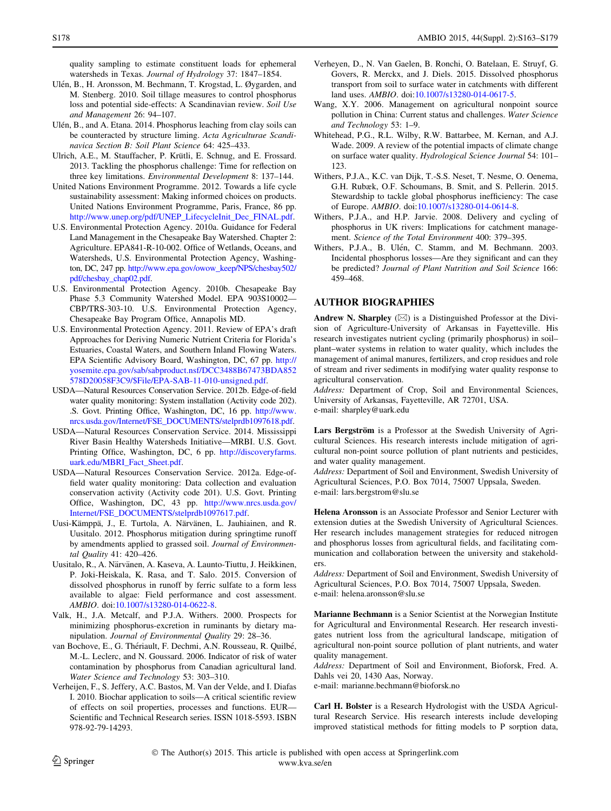<span id="page-15-0"></span>quality sampling to estimate constituent loads for ephemeral watersheds in Texas. Journal of Hydrology 37: 1847–1854.

- Ulén, B., H. Aronsson, M. Bechmann, T. Krogstad, L. Øygarden, and M. Stenberg. 2010. Soil tillage measures to control phosphorus loss and potential side-effects: A Scandinavian review. Soil Use and Management 26: 94–107.
- Ulén, B., and A. Etana. 2014. Phosphorus leaching from clay soils can be counteracted by structure liming. Acta Agriculturae Scandinavica Section B: Soil Plant Science 64: 425–433.
- Ulrich, A.E., M. Stauffacher, P. Krütli, E. Schnug, and E. Frossard. 2013. Tackling the phosphorus challenge: Time for reflection on three key limitations. Environmental Development 8: 137–144.
- United Nations Environment Programme. 2012. Towards a life cycle sustainability assessment: Making informed choices on products. United Nations Environment Programme, Paris, France, 86 pp. [http://www.unep.org/pdf/UNEP\\_LifecycleInit\\_Dec\\_FINAL.pdf.](http://www.unep.org/pdf/UNEP_LifecycleInit_Dec_FINAL.pdf)
- U.S. Environmental Protection Agency. 2010a. Guidance for Federal Land Management in the Chesapeake Bay Watershed. Chapter 2: Agriculture. EPA841-R-10-002. Office of Wetlands, Oceans, and Watersheds, U.S. Environmental Protection Agency, Washington, DC, 247 pp. [http://www.epa.gov/owow\\_keep/NPS/chesbay502/](http://www.epa.gov/owow_keep/NPS/chesbay502/pdf/chesbay_chap02.pdf) [pdf/chesbay\\_chap02.pdf.](http://www.epa.gov/owow_keep/NPS/chesbay502/pdf/chesbay_chap02.pdf)
- U.S. Environmental Protection Agency. 2010b. Chesapeake Bay Phase 5.3 Community Watershed Model. EPA 903S10002— CBP/TRS-303-10. U.S. Environmental Protection Agency, Chesapeake Bay Program Office, Annapolis MD.
- U.S. Environmental Protection Agency. 2011. Review of EPA's draft Approaches for Deriving Numeric Nutrient Criteria for Florida's Estuaries, Coastal Waters, and Southern Inland Flowing Waters. EPA Scientific Advisory Board, Washington, DC, 67 pp. [http://](http://yosemite.epa.gov/sab/sabproduct.nsf/DCC3488B67473BDA852578D20058F3C9/$File/EPA-SAB-11-010-unsigned.pdf) [yosemite.epa.gov/sab/sabproduct.nsf/DCC3488B67473BDA852](http://yosemite.epa.gov/sab/sabproduct.nsf/DCC3488B67473BDA852578D20058F3C9/$File/EPA-SAB-11-010-unsigned.pdf) [578D20058F3C9/\\$File/EPA-SAB-11-010-unsigned.pdf](http://yosemite.epa.gov/sab/sabproduct.nsf/DCC3488B67473BDA852578D20058F3C9/$File/EPA-SAB-11-010-unsigned.pdf).
- USDA—Natural Resources Conservation Service. 2012b. Edge-of-field water quality monitoring: System installation (Activity code 202). .S. Govt. Printing Office, Washington, DC, 16 pp. [http://www.](http://www.nrcs.usda.gov/Internet/FSE_DOCUMENTS/stelprdb1097618.pdf) [nrcs.usda.gov/Internet/FSE\\_DOCUMENTS/stelprdb1097618.pdf](http://www.nrcs.usda.gov/Internet/FSE_DOCUMENTS/stelprdb1097618.pdf).
- USDA—Natural Resources Conservation Service. 2014. Mississippi River Basin Healthy Watersheds Initiative—MRBI. U.S. Govt. Printing Office, Washington, DC, 6 pp. [http://discoveryfarms.](http://discoveryfarms.uark.edu/MBRI_Fact_Sheet.pdf) [uark.edu/MBRI\\_Fact\\_Sheet.pdf.](http://discoveryfarms.uark.edu/MBRI_Fact_Sheet.pdf)
- USDA—Natural Resources Conservation Service. 2012a. Edge-offield water quality monitoring: Data collection and evaluation conservation activity (Activity code 201). U.S. Govt. Printing Office, Washington, DC, 43 pp. [http://www.nrcs.usda.gov/](http://www.nrcs.usda.gov/Internet/FSE_DOCUMENTS/stelprdb1097617.pdf) [Internet/FSE\\_DOCUMENTS/stelprdb1097617.pdf](http://www.nrcs.usda.gov/Internet/FSE_DOCUMENTS/stelprdb1097617.pdf).
- Uusi-Kämppä, J., E. Turtola, A. Närvänen, L. Jauhiainen, and R. Uusitalo. 2012. Phosphorus mitigation during springtime runoff by amendments applied to grassed soil. Journal of Environmental Quality 41: 420–426.
- Uusitalo, R., A. Närvänen, A. Kaseva, A. Launto-Tiuttu, J. Heikkinen, P. Joki-Heiskala, K. Rasa, and T. Salo. 2015. Conversion of dissolved phosphorus in runoff by ferric sulfate to a form less available to algae: Field performance and cost assessment. AMBIO. doi:[10.1007/s13280-014-0622-8](http://dx.doi.org/10.1007/s13280-014-0622-8).
- Valk, H., J.A. Metcalf, and P.J.A. Withers. 2000. Prospects for minimizing phosphorus-excretion in ruminants by dietary manipulation. Journal of Environmental Quality 29: 28–36.
- van Bochove, E., G. Thériault, F. Dechmi, A.N. Rousseau, R. Quilbé, M.-L. Leclerc, and N. Goussard. 2006. Indicator of risk of water contamination by phosphorus from Canadian agricultural land. Water Science and Technology 53: 303–310.
- Verheijen, F., S. Jeffery, A.C. Bastos, M. Van der Velde, and I. Diafas I. 2010. Biochar application to soils—A critical scientific review of effects on soil properties, processes and functions. EUR— Scientific and Technical Research series. ISSN 1018-5593. ISBN 978-92-79-14293.
- Verheyen, D., N. Van Gaelen, B. Ronchi, O. Batelaan, E. Struyf, G. Govers, R. Merckx, and J. Diels. 2015. Dissolved phosphorus transport from soil to surface water in catchments with different land uses. AMBIO. doi:[10.1007/s13280-014-0617-5](http://dx.doi.org/10.1007/s13280-014-0617-5).
- Wang, X.Y. 2006. Management on agricultural nonpoint source pollution in China: Current status and challenges. Water Science and Technology 53: 1–9.
- Whitehead, P.G., R.L. Wilby, R.W. Battarbee, M. Kernan, and A.J. Wade. 2009. A review of the potential impacts of climate change on surface water quality. Hydrological Science Journal 54: 101– 123.
- Withers, P.J.A., K.C. van Dijk, T.-S.S. Neset, T. Nesme, O. Oenema, G.H. Rubæk, O.F. Schoumans, B. Smit, and S. Pellerin. 2015. Stewardship to tackle global phosphorus inefficiency: The case of Europe. AMBIO. doi[:10.1007/s13280-014-0614-8.](http://dx.doi.org/10.1007/s13280-014-0614-8)
- Withers, P.J.A., and H.P. Jarvie. 2008. Delivery and cycling of phosphorus in UK rivers: Implications for catchment management. Science of the Total Environment 400: 379–395.
- Withers, P.J.A., B. Ulén, C. Stamm, and M. Bechmann. 2003. Incidental phosphorus losses—Are they significant and can they be predicted? Journal of Plant Nutrition and Soil Science 166: 459–468.

### AUTHOR BIOGRAPHIES

Andrew N. Sharpley  $(\boxtimes)$  is a Distinguished Professor at the Division of Agriculture-University of Arkansas in Fayetteville. His research investigates nutrient cycling (primarily phosphorus) in soil– plant–water systems in relation to water quality, which includes the management of animal manures, fertilizers, and crop residues and role of stream and river sediments in modifying water quality response to agricultural conservation.

Address: Department of Crop, Soil and Environmental Sciences, University of Arkansas, Fayetteville, AR 72701, USA. e-mail: sharpley@uark.edu

Lars Bergström is a Professor at the Swedish University of Agricultural Sciences. His research interests include mitigation of agricultural non-point source pollution of plant nutrients and pesticides,

and water quality management. Address: Department of Soil and Environment, Swedish University of Agricultural Sciences, P.O. Box 7014, 75007 Uppsala, Sweden. e-mail: lars.bergstrom@slu.se

Helena Aronsson is an Associate Professor and Senior Lecturer with extension duties at the Swedish University of Agricultural Sciences. Her research includes management strategies for reduced nitrogen and phosphorus losses from agricultural fields, and facilitating communication and collaboration between the university and stakeholders.

Address: Department of Soil and Environment, Swedish University of Agricultural Sciences, P.O. Box 7014, 75007 Uppsala, Sweden. e-mail: helena.aronsson@slu.se

Marianne Bechmann is a Senior Scientist at the Norwegian Institute for Agricultural and Environmental Research. Her research investigates nutrient loss from the agricultural landscape, mitigation of agricultural non-point source pollution of plant nutrients, and water quality management.

Address: Department of Soil and Environment, Bioforsk, Fred. A. Dahls vei 20, 1430 Aas, Norway.

e-mail: marianne.bechmann@bioforsk.no

Carl H. Bolster is a Research Hydrologist with the USDA Agricultural Research Service. His research interests include developing improved statistical methods for fitting models to P sorption data,